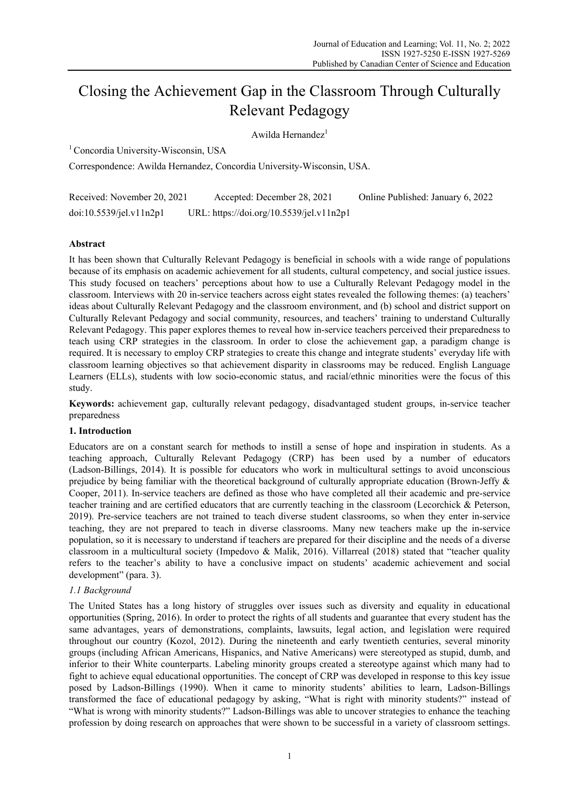# Closing the Achievement Gap in the Classroom Through Culturally Relevant Pedagogy

Awilda Hernandez<sup>1</sup>

<sup>1</sup> Concordia University-Wisconsin, USA

Correspondence: Awilda Hernandez, Concordia University-Wisconsin, USA.

| Received: November 20, 2021 | Accepted: December 28, 2021              | Online Published: January 6, 2022 |
|-----------------------------|------------------------------------------|-----------------------------------|
| doi:10.5539/jel.v11n2p1     | URL: https://doi.org/10.5539/jel.v11n2p1 |                                   |

# **Abstract**

It has been shown that Culturally Relevant Pedagogy is beneficial in schools with a wide range of populations because of its emphasis on academic achievement for all students, cultural competency, and social justice issues. This study focused on teachers' perceptions about how to use a Culturally Relevant Pedagogy model in the classroom. Interviews with 20 in-service teachers across eight states revealed the following themes: (a) teachers' ideas about Culturally Relevant Pedagogy and the classroom environment, and (b) school and district support on Culturally Relevant Pedagogy and social community, resources, and teachers' training to understand Culturally Relevant Pedagogy. This paper explores themes to reveal how in-service teachers perceived their preparedness to teach using CRP strategies in the classroom. In order to close the achievement gap, a paradigm change is required. It is necessary to employ CRP strategies to create this change and integrate students' everyday life with classroom learning objectives so that achievement disparity in classrooms may be reduced. English Language Learners (ELLs), students with low socio-economic status, and racial/ethnic minorities were the focus of this study.

**Keywords:** achievement gap, culturally relevant pedagogy, disadvantaged student groups, in-service teacher preparedness

# **1. Introduction**

Educators are on a constant search for methods to instill a sense of hope and inspiration in students. As a teaching approach, Culturally Relevant Pedagogy (CRP) has been used by a number of educators (Ladson-Billings, 2014). It is possible for educators who work in multicultural settings to avoid unconscious prejudice by being familiar with the theoretical background of culturally appropriate education (Brown-Jeffy & Cooper, 2011). In-service teachers are defined as those who have completed all their academic and pre-service teacher training and are certified educators that are currently teaching in the classroom (Lecorchick & Peterson, 2019). Pre-service teachers are not trained to teach diverse student classrooms, so when they enter in-service teaching, they are not prepared to teach in diverse classrooms. Many new teachers make up the in-service population, so it is necessary to understand if teachers are prepared for their discipline and the needs of a diverse classroom in a multicultural society (Impedovo & Malik, 2016). Villarreal (2018) stated that "teacher quality refers to the teacher's ability to have a conclusive impact on students' academic achievement and social development" (para. 3).

# *1.1 Background*

The United States has a long history of struggles over issues such as diversity and equality in educational opportunities (Spring, 2016). In order to protect the rights of all students and guarantee that every student has the same advantages, years of demonstrations, complaints, lawsuits, legal action, and legislation were required throughout our country (Kozol, 2012). During the nineteenth and early twentieth centuries, several minority groups (including African Americans, Hispanics, and Native Americans) were stereotyped as stupid, dumb, and inferior to their White counterparts. Labeling minority groups created a stereotype against which many had to fight to achieve equal educational opportunities. The concept of CRP was developed in response to this key issue posed by Ladson-Billings (1990). When it came to minority students' abilities to learn, Ladson-Billings transformed the face of educational pedagogy by asking, "What is right with minority students?" instead of "What is wrong with minority students?" Ladson-Billings was able to uncover strategies to enhance the teaching profession by doing research on approaches that were shown to be successful in a variety of classroom settings.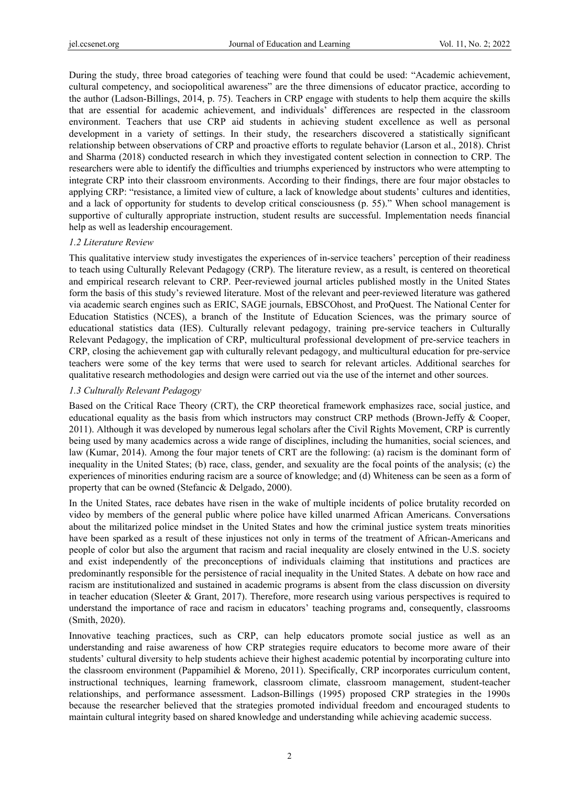During the study, three broad categories of teaching were found that could be used: "Academic achievement, cultural competency, and sociopolitical awareness" are the three dimensions of educator practice, according to the author (Ladson-Billings, 2014, p. 75). Teachers in CRP engage with students to help them acquire the skills that are essential for academic achievement, and individuals' differences are respected in the classroom environment. Teachers that use CRP aid students in achieving student excellence as well as personal development in a variety of settings. In their study, the researchers discovered a statistically significant relationship between observations of CRP and proactive efforts to regulate behavior (Larson et al., 2018). Christ and Sharma (2018) conducted research in which they investigated content selection in connection to CRP. The researchers were able to identify the difficulties and triumphs experienced by instructors who were attempting to integrate CRP into their classroom environments. According to their findings, there are four major obstacles to applying CRP: "resistance, a limited view of culture, a lack of knowledge about students' cultures and identities, and a lack of opportunity for students to develop critical consciousness (p. 55)." When school management is supportive of culturally appropriate instruction, student results are successful. Implementation needs financial help as well as leadership encouragement.

#### *1.2 Literature Review*

This qualitative interview study investigates the experiences of in-service teachers' perception of their readiness to teach using Culturally Relevant Pedagogy (CRP). The literature review, as a result, is centered on theoretical and empirical research relevant to CRP. Peer-reviewed journal articles published mostly in the United States form the basis of this study's reviewed literature. Most of the relevant and peer-reviewed literature was gathered via academic search engines such as ERIC, SAGE journals, EBSCOhost, and ProQuest. The National Center for Education Statistics (NCES), a branch of the Institute of Education Sciences, was the primary source of educational statistics data (IES). Culturally relevant pedagogy, training pre-service teachers in Culturally Relevant Pedagogy, the implication of CRP, multicultural professional development of pre-service teachers in CRP, closing the achievement gap with culturally relevant pedagogy, and multicultural education for pre-service teachers were some of the key terms that were used to search for relevant articles. Additional searches for qualitative research methodologies and design were carried out via the use of the internet and other sources.

## *1.3 Culturally Relevant Pedagogy*

Based on the Critical Race Theory (CRT), the CRP theoretical framework emphasizes race, social justice, and educational equality as the basis from which instructors may construct CRP methods (Brown-Jeffy & Cooper, 2011). Although it was developed by numerous legal scholars after the Civil Rights Movement, CRP is currently being used by many academics across a wide range of disciplines, including the humanities, social sciences, and law (Kumar, 2014). Among the four major tenets of CRT are the following: (a) racism is the dominant form of inequality in the United States; (b) race, class, gender, and sexuality are the focal points of the analysis; (c) the experiences of minorities enduring racism are a source of knowledge; and (d) Whiteness can be seen as a form of property that can be owned (Stefancic & Delgado, 2000).

In the United States, race debates have risen in the wake of multiple incidents of police brutality recorded on video by members of the general public where police have killed unarmed African Americans. Conversations about the militarized police mindset in the United States and how the criminal justice system treats minorities have been sparked as a result of these injustices not only in terms of the treatment of African-Americans and people of color but also the argument that racism and racial inequality are closely entwined in the U.S. society and exist independently of the preconceptions of individuals claiming that institutions and practices are predominantly responsible for the persistence of racial inequality in the United States. A debate on how race and racism are institutionalized and sustained in academic programs is absent from the class discussion on diversity in teacher education (Sleeter & Grant, 2017). Therefore, more research using various perspectives is required to understand the importance of race and racism in educators' teaching programs and, consequently, classrooms (Smith, 2020).

Innovative teaching practices, such as CRP, can help educators promote social justice as well as an understanding and raise awareness of how CRP strategies require educators to become more aware of their students' cultural diversity to help students achieve their highest academic potential by incorporating culture into the classroom environment (Pappamihiel & Moreno, 2011). Specifically, CRP incorporates curriculum content, instructional techniques, learning framework, classroom climate, classroom management, student-teacher relationships, and performance assessment. Ladson-Billings (1995) proposed CRP strategies in the 1990s because the researcher believed that the strategies promoted individual freedom and encouraged students to maintain cultural integrity based on shared knowledge and understanding while achieving academic success.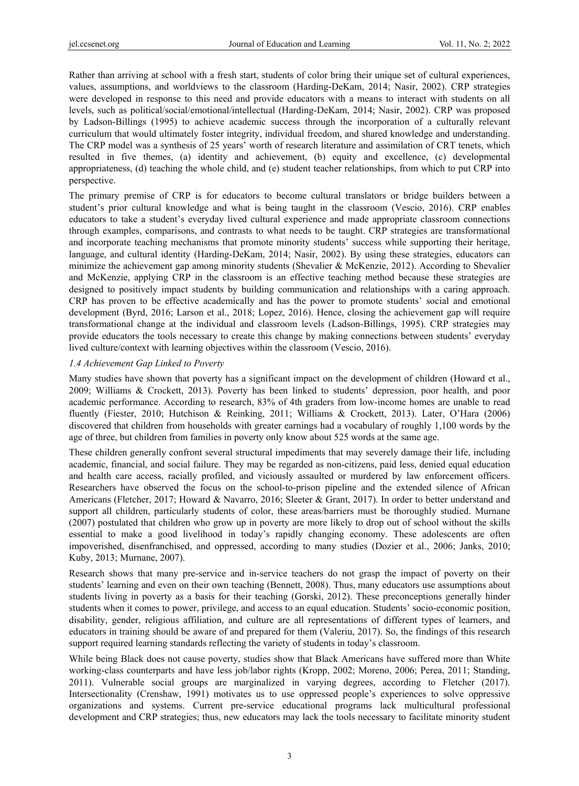Rather than arriving at school with a fresh start, students of color bring their unique set of cultural experiences, values, assumptions, and worldviews to the classroom (Harding-DeKam, 2014; Nasir, 2002). CRP strategies were developed in response to this need and provide educators with a means to interact with students on all levels, such as political/social/emotional/intellectual (Harding-DeKam, 2014; Nasir, 2002). CRP was proposed by Ladson-Billings (1995) to achieve academic success through the incorporation of a culturally relevant curriculum that would ultimately foster integrity, individual freedom, and shared knowledge and understanding. The CRP model was a synthesis of 25 years' worth of research literature and assimilation of CRT tenets, which resulted in five themes, (a) identity and achievement, (b) equity and excellence, (c) developmental appropriateness, (d) teaching the whole child, and (e) student teacher relationships, from which to put CRP into perspective.

The primary premise of CRP is for educators to become cultural translators or bridge builders between a student's prior cultural knowledge and what is being taught in the classroom (Vescio, 2016). CRP enables educators to take a student's everyday lived cultural experience and made appropriate classroom connections through examples, comparisons, and contrasts to what needs to be taught. CRP strategies are transformational and incorporate teaching mechanisms that promote minority students' success while supporting their heritage, language, and cultural identity (Harding-DeKam, 2014; Nasir, 2002). By using these strategies, educators can minimize the achievement gap among minority students (Shevalier & McKenzie, 2012). According to Shevalier and McKenzie, applying CRP in the classroom is an effective teaching method because these strategies are designed to positively impact students by building communication and relationships with a caring approach. CRP has proven to be effective academically and has the power to promote students' social and emotional development (Byrd, 2016; Larson et al., 2018; Lopez, 2016). Hence, closing the achievement gap will require transformational change at the individual and classroom levels (Ladson-Billings, 1995). CRP strategies may provide educators the tools necessary to create this change by making connections between students' everyday lived culture/context with learning objectives within the classroom (Vescio, 2016).

#### *1.4 Achievement Gap Linked to Poverty*

Many studies have shown that poverty has a significant impact on the development of children (Howard et al., 2009; Williams & Crockett, 2013). Poverty has been linked to students' depression, poor health, and poor academic performance. According to research, 83% of 4th graders from low-income homes are unable to read fluently (Fiester, 2010; Hutchison & Reinking, 2011; Williams & Crockett, 2013). Later, O'Hara (2006) discovered that children from households with greater earnings had a vocabulary of roughly 1,100 words by the age of three, but children from families in poverty only know about 525 words at the same age.

These children generally confront several structural impediments that may severely damage their life, including academic, financial, and social failure. They may be regarded as non-citizens, paid less, denied equal education and health care access, racially profiled, and viciously assaulted or murdered by law enforcement officers. Researchers have observed the focus on the school-to-prison pipeline and the extended silence of African Americans (Fletcher, 2017; Howard & Navarro, 2016; Sleeter & Grant, 2017). In order to better understand and support all children, particularly students of color, these areas/barriers must be thoroughly studied. Murnane (2007) postulated that children who grow up in poverty are more likely to drop out of school without the skills essential to make a good livelihood in today's rapidly changing economy. These adolescents are often impoverished, disenfranchised, and oppressed, according to many studies (Dozier et al., 2006; Janks, 2010; Kuby, 2013; Murnane, 2007).

Research shows that many pre-service and in-service teachers do not grasp the impact of poverty on their students' learning and even on their own teaching (Bennett, 2008). Thus, many educators use assumptions about students living in poverty as a basis for their teaching (Gorski, 2012). These preconceptions generally hinder students when it comes to power, privilege, and access to an equal education. Students' socio-economic position, disability, gender, religious affiliation, and culture are all representations of different types of learners, and educators in training should be aware of and prepared for them (Valeriu, 2017). So, the findings of this research support required learning standards reflecting the variety of students in today's classroom.

While being Black does not cause poverty, studies show that Black Americans have suffered more than White working-class counterparts and have less job/labor rights (Kropp, 2002; Moreno, 2006; Perea, 2011; Standing, 2011). Vulnerable social groups are marginalized in varying degrees, according to Fletcher (2017). Intersectionality (Crenshaw, 1991) motivates us to use oppressed people's experiences to solve oppressive organizations and systems. Current pre-service educational programs lack multicultural professional development and CRP strategies; thus, new educators may lack the tools necessary to facilitate minority student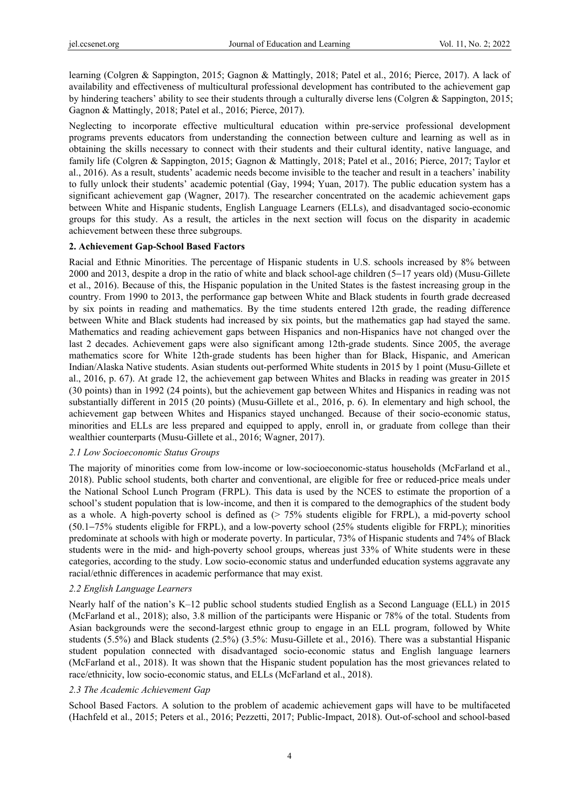learning (Colgren & Sappington, 2015; Gagnon & Mattingly, 2018; Patel et al., 2016; Pierce, 2017). A lack of availability and effectiveness of multicultural professional development has contributed to the achievement gap by hindering teachers' ability to see their students through a culturally diverse lens (Colgren & Sappington, 2015; Gagnon & Mattingly, 2018; Patel et al., 2016; Pierce, 2017).

Neglecting to incorporate effective multicultural education within pre-service professional development programs prevents educators from understanding the connection between culture and learning as well as in obtaining the skills necessary to connect with their students and their cultural identity, native language, and family life (Colgren & Sappington, 2015; Gagnon & Mattingly, 2018; Patel et al., 2016; Pierce, 2017; Taylor et al., 2016). As a result, students' academic needs become invisible to the teacher and result in a teachers' inability to fully unlock their students' academic potential (Gay, 1994; Yuan, 2017). The public education system has a significant achievement gap (Wagner, 2017). The researcher concentrated on the academic achievement gaps between White and Hispanic students, English Language Learners (ELLs), and disadvantaged socio-economic groups for this study. As a result, the articles in the next section will focus on the disparity in academic achievement between these three subgroups.

#### **2. Achievement Gap-School Based Factors**

Racial and Ethnic Minorities. The percentage of Hispanic students in U.S. schools increased by 8% between 2000 and 2013, despite a drop in the ratio of white and black school-age children (5−17 years old) (Musu-Gillete et al., 2016). Because of this, the Hispanic population in the United States is the fastest increasing group in the country. From 1990 to 2013, the performance gap between White and Black students in fourth grade decreased by six points in reading and mathematics. By the time students entered 12th grade, the reading difference between White and Black students had increased by six points, but the mathematics gap had stayed the same. Mathematics and reading achievement gaps between Hispanics and non-Hispanics have not changed over the last 2 decades. Achievement gaps were also significant among 12th-grade students. Since 2005, the average mathematics score for White 12th-grade students has been higher than for Black, Hispanic, and American Indian/Alaska Native students. Asian students out-performed White students in 2015 by 1 point (Musu-Gillete et al., 2016, p. 67). At grade 12, the achievement gap between Whites and Blacks in reading was greater in 2015 (30 points) than in 1992 (24 points), but the achievement gap between Whites and Hispanics in reading was not substantially different in 2015 (20 points) (Musu-Gillete et al., 2016, p. 6). In elementary and high school, the achievement gap between Whites and Hispanics stayed unchanged. Because of their socio-economic status, minorities and ELLs are less prepared and equipped to apply, enroll in, or graduate from college than their wealthier counterparts (Musu-Gillete et al., 2016; Wagner, 2017).

#### *2.1 Low Socioeconomic Status Groups*

The majority of minorities come from low-income or low-socioeconomic-status households (McFarland et al., 2018). Public school students, both charter and conventional, are eligible for free or reduced-price meals under the National School Lunch Program (FRPL). This data is used by the NCES to estimate the proportion of a school's student population that is low-income, and then it is compared to the demographics of the student body as a whole. A high-poverty school is defined as (> 75% students eligible for FRPL), a mid-poverty school (50.1−75% students eligible for FRPL), and a low-poverty school (25% students eligible for FRPL); minorities predominate at schools with high or moderate poverty. In particular, 73% of Hispanic students and 74% of Black students were in the mid- and high-poverty school groups, whereas just 33% of White students were in these categories, according to the study. Low socio-economic status and underfunded education systems aggravate any racial/ethnic differences in academic performance that may exist.

#### *2.2 English Language Learners*

Nearly half of the nation's K–12 public school students studied English as a Second Language (ELL) in 2015 (McFarland et al., 2018); also, 3.8 million of the participants were Hispanic or 78% of the total. Students from Asian backgrounds were the second-largest ethnic group to engage in an ELL program, followed by White students (5.5%) and Black students (2.5%) (3.5%: Musu-Gillete et al., 2016). There was a substantial Hispanic student population connected with disadvantaged socio-economic status and English language learners (McFarland et al., 2018). It was shown that the Hispanic student population has the most grievances related to race/ethnicity, low socio-economic status, and ELLs (McFarland et al., 2018).

#### *2.3 The Academic Achievement Gap*

School Based Factors. A solution to the problem of academic achievement gaps will have to be multifaceted (Hachfeld et al., 2015; Peters et al., 2016; Pezzetti, 2017; Public-Impact, 2018). Out-of-school and school-based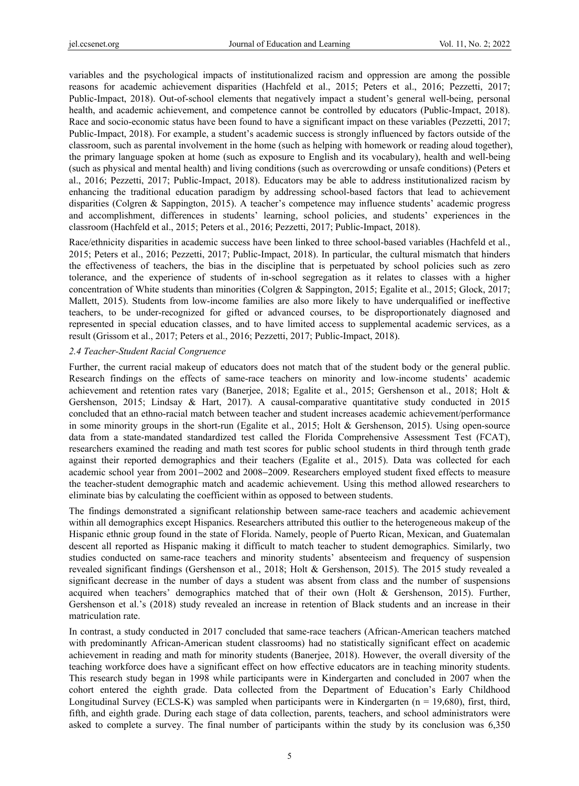variables and the psychological impacts of institutionalized racism and oppression are among the possible reasons for academic achievement disparities (Hachfeld et al., 2015; Peters et al., 2016; Pezzetti, 2017; Public-Impact, 2018). Out-of-school elements that negatively impact a student's general well-being, personal health, and academic achievement, and competence cannot be controlled by educators (Public-Impact, 2018). Race and socio-economic status have been found to have a significant impact on these variables (Pezzetti, 2017; Public-Impact, 2018). For example, a student's academic success is strongly influenced by factors outside of the classroom, such as parental involvement in the home (such as helping with homework or reading aloud together), the primary language spoken at home (such as exposure to English and its vocabulary), health and well-being (such as physical and mental health) and living conditions (such as overcrowding or unsafe conditions) (Peters et al., 2016; Pezzetti, 2017; Public-Impact, 2018). Educators may be able to address institutionalized racism by enhancing the traditional education paradigm by addressing school-based factors that lead to achievement disparities (Colgren & Sappington, 2015). A teacher's competence may influence students' academic progress and accomplishment, differences in students' learning, school policies, and students' experiences in the classroom (Hachfeld et al., 2015; Peters et al., 2016; Pezzetti, 2017; Public-Impact, 2018).

Race/ethnicity disparities in academic success have been linked to three school-based variables (Hachfeld et al., 2015; Peters et al., 2016; Pezzetti, 2017; Public-Impact, 2018). In particular, the cultural mismatch that hinders the effectiveness of teachers, the bias in the discipline that is perpetuated by school policies such as zero tolerance, and the experience of students of in-school segregation as it relates to classes with a higher concentration of White students than minorities (Colgren & Sappington, 2015; Egalite et al., 2015; Glock, 2017; Mallett, 2015). Students from low-income families are also more likely to have underqualified or ineffective teachers, to be under-recognized for gifted or advanced courses, to be disproportionately diagnosed and represented in special education classes, and to have limited access to supplemental academic services, as a result (Grissom et al., 2017; Peters et al., 2016; Pezzetti, 2017; Public-Impact, 2018).

#### *2.4 Teacher-Student Racial Congruence*

Further, the current racial makeup of educators does not match that of the student body or the general public. Research findings on the effects of same-race teachers on minority and low-income students' academic achievement and retention rates vary (Banerjee, 2018; Egalite et al., 2015; Gershenson et al., 2018; Holt & Gershenson, 2015; Lindsay & Hart, 2017). A causal-comparative quantitative study conducted in 2015 concluded that an ethno-racial match between teacher and student increases academic achievement/performance in some minority groups in the short-run (Egalite et al., 2015; Holt & Gershenson, 2015). Using open-source data from a state-mandated standardized test called the Florida Comprehensive Assessment Test (FCAT), researchers examined the reading and math test scores for public school students in third through tenth grade against their reported demographics and their teachers (Egalite et al., 2015). Data was collected for each academic school year from 2001−2002 and 2008−2009. Researchers employed student fixed effects to measure the teacher-student demographic match and academic achievement. Using this method allowed researchers to eliminate bias by calculating the coefficient within as opposed to between students.

The findings demonstrated a significant relationship between same-race teachers and academic achievement within all demographics except Hispanics. Researchers attributed this outlier to the heterogeneous makeup of the Hispanic ethnic group found in the state of Florida. Namely, people of Puerto Rican, Mexican, and Guatemalan descent all reported as Hispanic making it difficult to match teacher to student demographics. Similarly, two studies conducted on same-race teachers and minority students' absenteeism and frequency of suspension revealed significant findings (Gershenson et al., 2018; Holt & Gershenson, 2015). The 2015 study revealed a significant decrease in the number of days a student was absent from class and the number of suspensions acquired when teachers' demographics matched that of their own (Holt & Gershenson, 2015). Further, Gershenson et al.'s (2018) study revealed an increase in retention of Black students and an increase in their matriculation rate.

In contrast, a study conducted in 2017 concluded that same-race teachers (African-American teachers matched with predominantly African-American student classrooms) had no statistically significant effect on academic achievement in reading and math for minority students (Banerjee, 2018). However, the overall diversity of the teaching workforce does have a significant effect on how effective educators are in teaching minority students. This research study began in 1998 while participants were in Kindergarten and concluded in 2007 when the cohort entered the eighth grade. Data collected from the Department of Education's Early Childhood Longitudinal Survey (ECLS-K) was sampled when participants were in Kindergarten ( $n = 19,680$ ), first, third, fifth, and eighth grade. During each stage of data collection, parents, teachers, and school administrators were asked to complete a survey. The final number of participants within the study by its conclusion was 6,350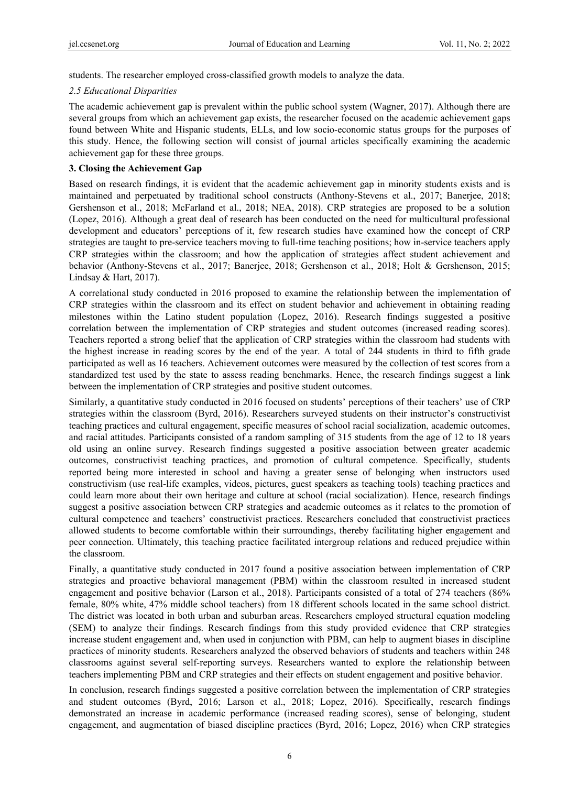students. The researcher employed cross-classified growth models to analyze the data.

#### *2.5 Educational Disparities*

The academic achievement gap is prevalent within the public school system (Wagner, 2017). Although there are several groups from which an achievement gap exists, the researcher focused on the academic achievement gaps found between White and Hispanic students, ELLs, and low socio-economic status groups for the purposes of this study. Hence, the following section will consist of journal articles specifically examining the academic achievement gap for these three groups.

### **3. Closing the Achievement Gap**

Based on research findings, it is evident that the academic achievement gap in minority students exists and is maintained and perpetuated by traditional school constructs (Anthony-Stevens et al., 2017; Banerjee, 2018; Gershenson et al., 2018; McFarland et al., 2018; NEA, 2018). CRP strategies are proposed to be a solution (Lopez, 2016). Although a great deal of research has been conducted on the need for multicultural professional development and educators' perceptions of it, few research studies have examined how the concept of CRP strategies are taught to pre-service teachers moving to full-time teaching positions; how in-service teachers apply CRP strategies within the classroom; and how the application of strategies affect student achievement and behavior (Anthony-Stevens et al., 2017; Banerjee, 2018; Gershenson et al., 2018; Holt & Gershenson, 2015; Lindsay & Hart, 2017).

A correlational study conducted in 2016 proposed to examine the relationship between the implementation of CRP strategies within the classroom and its effect on student behavior and achievement in obtaining reading milestones within the Latino student population (Lopez, 2016). Research findings suggested a positive correlation between the implementation of CRP strategies and student outcomes (increased reading scores). Teachers reported a strong belief that the application of CRP strategies within the classroom had students with the highest increase in reading scores by the end of the year. A total of 244 students in third to fifth grade participated as well as 16 teachers. Achievement outcomes were measured by the collection of test scores from a standardized test used by the state to assess reading benchmarks. Hence, the research findings suggest a link between the implementation of CRP strategies and positive student outcomes.

Similarly, a quantitative study conducted in 2016 focused on students' perceptions of their teachers' use of CRP strategies within the classroom (Byrd, 2016). Researchers surveyed students on their instructor's constructivist teaching practices and cultural engagement, specific measures of school racial socialization, academic outcomes, and racial attitudes. Participants consisted of a random sampling of 315 students from the age of 12 to 18 years old using an online survey. Research findings suggested a positive association between greater academic outcomes, constructivist teaching practices, and promotion of cultural competence. Specifically, students reported being more interested in school and having a greater sense of belonging when instructors used constructivism (use real-life examples, videos, pictures, guest speakers as teaching tools) teaching practices and could learn more about their own heritage and culture at school (racial socialization). Hence, research findings suggest a positive association between CRP strategies and academic outcomes as it relates to the promotion of cultural competence and teachers' constructivist practices. Researchers concluded that constructivist practices allowed students to become comfortable within their surroundings, thereby facilitating higher engagement and peer connection. Ultimately, this teaching practice facilitated intergroup relations and reduced prejudice within the classroom.

Finally, a quantitative study conducted in 2017 found a positive association between implementation of CRP strategies and proactive behavioral management (PBM) within the classroom resulted in increased student engagement and positive behavior (Larson et al., 2018). Participants consisted of a total of 274 teachers (86% female, 80% white, 47% middle school teachers) from 18 different schools located in the same school district. The district was located in both urban and suburban areas. Researchers employed structural equation modeling (SEM) to analyze their findings. Research findings from this study provided evidence that CRP strategies increase student engagement and, when used in conjunction with PBM, can help to augment biases in discipline practices of minority students. Researchers analyzed the observed behaviors of students and teachers within 248 classrooms against several self-reporting surveys. Researchers wanted to explore the relationship between teachers implementing PBM and CRP strategies and their effects on student engagement and positive behavior.

In conclusion, research findings suggested a positive correlation between the implementation of CRP strategies and student outcomes (Byrd, 2016; Larson et al., 2018; Lopez, 2016). Specifically, research findings demonstrated an increase in academic performance (increased reading scores), sense of belonging, student engagement, and augmentation of biased discipline practices (Byrd, 2016; Lopez, 2016) when CRP strategies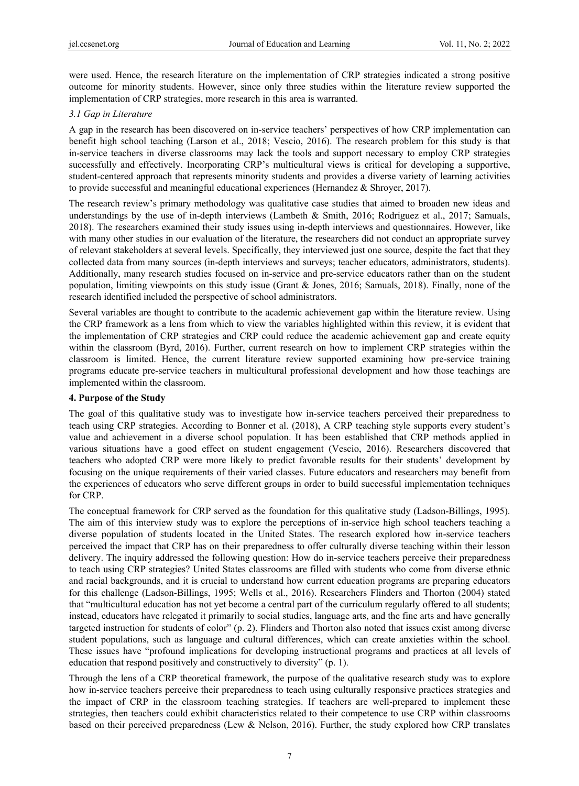were used. Hence, the research literature on the implementation of CRP strategies indicated a strong positive outcome for minority students. However, since only three studies within the literature review supported the implementation of CRP strategies, more research in this area is warranted.

## *3.1 Gap in Literature*

A gap in the research has been discovered on in-service teachers' perspectives of how CRP implementation can benefit high school teaching (Larson et al., 2018; Vescio, 2016). The research problem for this study is that in-service teachers in diverse classrooms may lack the tools and support necessary to employ CRP strategies successfully and effectively. Incorporating CRP's multicultural views is critical for developing a supportive, student-centered approach that represents minority students and provides a diverse variety of learning activities to provide successful and meaningful educational experiences (Hernandez  $\&$  Shroyer, 2017).

The research review's primary methodology was qualitative case studies that aimed to broaden new ideas and understandings by the use of in-depth interviews (Lambeth & Smith, 2016; Rodriguez et al., 2017; Samuals, 2018). The researchers examined their study issues using in-depth interviews and questionnaires. However, like with many other studies in our evaluation of the literature, the researchers did not conduct an appropriate survey of relevant stakeholders at several levels. Specifically, they interviewed just one source, despite the fact that they collected data from many sources (in-depth interviews and surveys; teacher educators, administrators, students). Additionally, many research studies focused on in-service and pre-service educators rather than on the student population, limiting viewpoints on this study issue (Grant & Jones, 2016; Samuals, 2018). Finally, none of the research identified included the perspective of school administrators.

Several variables are thought to contribute to the academic achievement gap within the literature review. Using the CRP framework as a lens from which to view the variables highlighted within this review, it is evident that the implementation of CRP strategies and CRP could reduce the academic achievement gap and create equity within the classroom (Byrd, 2016). Further, current research on how to implement CRP strategies within the classroom is limited. Hence, the current literature review supported examining how pre-service training programs educate pre-service teachers in multicultural professional development and how those teachings are implemented within the classroom.

## **4. Purpose of the Study**

The goal of this qualitative study was to investigate how in-service teachers perceived their preparedness to teach using CRP strategies. According to Bonner et al. (2018), A CRP teaching style supports every student's value and achievement in a diverse school population. It has been established that CRP methods applied in various situations have a good effect on student engagement (Vescio, 2016). Researchers discovered that teachers who adopted CRP were more likely to predict favorable results for their students' development by focusing on the unique requirements of their varied classes. Future educators and researchers may benefit from the experiences of educators who serve different groups in order to build successful implementation techniques for CRP.

The conceptual framework for CRP served as the foundation for this qualitative study (Ladson-Billings, 1995). The aim of this interview study was to explore the perceptions of in-service high school teachers teaching a diverse population of students located in the United States. The research explored how in-service teachers perceived the impact that CRP has on their preparedness to offer culturally diverse teaching within their lesson delivery. The inquiry addressed the following question: How do in-service teachers perceive their preparedness to teach using CRP strategies? United States classrooms are filled with students who come from diverse ethnic and racial backgrounds, and it is crucial to understand how current education programs are preparing educators for this challenge (Ladson-Billings, 1995; Wells et al., 2016). Researchers Flinders and Thorton (2004) stated that "multicultural education has not yet become a central part of the curriculum regularly offered to all students; instead, educators have relegated it primarily to social studies, language arts, and the fine arts and have generally targeted instruction for students of color" (p. 2). Flinders and Thorton also noted that issues exist among diverse student populations, such as language and cultural differences, which can create anxieties within the school. These issues have "profound implications for developing instructional programs and practices at all levels of education that respond positively and constructively to diversity" (p. 1).

Through the lens of a CRP theoretical framework, the purpose of the qualitative research study was to explore how in-service teachers perceive their preparedness to teach using culturally responsive practices strategies and the impact of CRP in the classroom teaching strategies. If teachers are well-prepared to implement these strategies, then teachers could exhibit characteristics related to their competence to use CRP within classrooms based on their perceived preparedness (Lew & Nelson, 2016). Further, the study explored how CRP translates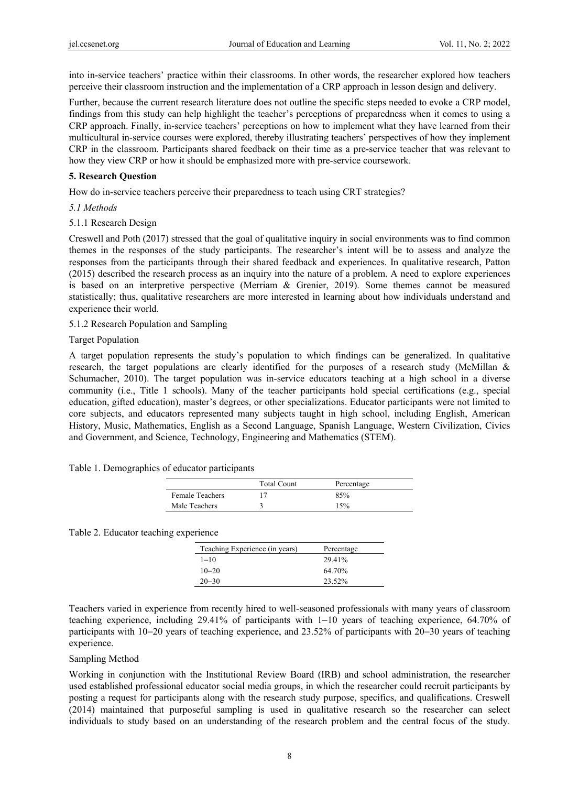into in-service teachers' practice within their classrooms. In other words, the researcher explored how teachers perceive their classroom instruction and the implementation of a CRP approach in lesson design and delivery.

Further, because the current research literature does not outline the specific steps needed to evoke a CRP model, findings from this study can help highlight the teacher's perceptions of preparedness when it comes to using a CRP approach. Finally, in-service teachers' perceptions on how to implement what they have learned from their multicultural in-service courses were explored, thereby illustrating teachers' perspectives of how they implement CRP in the classroom. Participants shared feedback on their time as a pre-service teacher that was relevant to how they view CRP or how it should be emphasized more with pre-service coursework.

#### **5. Research Question**

How do in-service teachers perceive their preparedness to teach using CRT strategies?

## *5.1 Methods*

## 5.1.1 Research Design

Creswell and Poth (2017) stressed that the goal of qualitative inquiry in social environments was to find common themes in the responses of the study participants. The researcher's intent will be to assess and analyze the responses from the participants through their shared feedback and experiences. In qualitative research, Patton (2015) described the research process as an inquiry into the nature of a problem. A need to explore experiences is based on an interpretive perspective (Merriam & Grenier, 2019). Some themes cannot be measured statistically; thus, qualitative researchers are more interested in learning about how individuals understand and experience their world.

## 5.1.2 Research Population and Sampling

## Target Population

A target population represents the study's population to which findings can be generalized. In qualitative research, the target populations are clearly identified for the purposes of a research study (McMillan & Schumacher, 2010). The target population was in-service educators teaching at a high school in a diverse community (i.e., Title 1 schools). Many of the teacher participants hold special certifications (e.g., special education, gifted education), master's degrees, or other specializations. Educator participants were not limited to core subjects, and educators represented many subjects taught in high school, including English, American History, Music, Mathematics, English as a Second Language, Spanish Language, Western Civilization, Civics and Government, and Science, Technology, Engineering and Mathematics (STEM).

#### Table 1. Demographics of educator participants

|                 | <b>Total Count</b> | Percentage |  |
|-----------------|--------------------|------------|--|
| Female Teachers |                    | 85%        |  |
| Male Teachers   |                    | 15%        |  |

Table 2. Educator teaching experience

| Teaching Experience (in years) | Percentage |
|--------------------------------|------------|
| $1 - 10$                       | 29.41%     |
| $10 - 20$                      | 64 70%     |
| $20 - 30$                      | 23.52%     |

Teachers varied in experience from recently hired to well-seasoned professionals with many years of classroom teaching experience, including 29.41% of participants with 1−10 years of teaching experience, 64.70% of participants with 10−20 years of teaching experience, and 23.52% of participants with 20−30 years of teaching experience.

#### Sampling Method

Working in conjunction with the Institutional Review Board (IRB) and school administration, the researcher used established professional educator social media groups, in which the researcher could recruit participants by posting a request for participants along with the research study purpose, specifics, and qualifications. Creswell (2014) maintained that purposeful sampling is used in qualitative research so the researcher can select individuals to study based on an understanding of the research problem and the central focus of the study.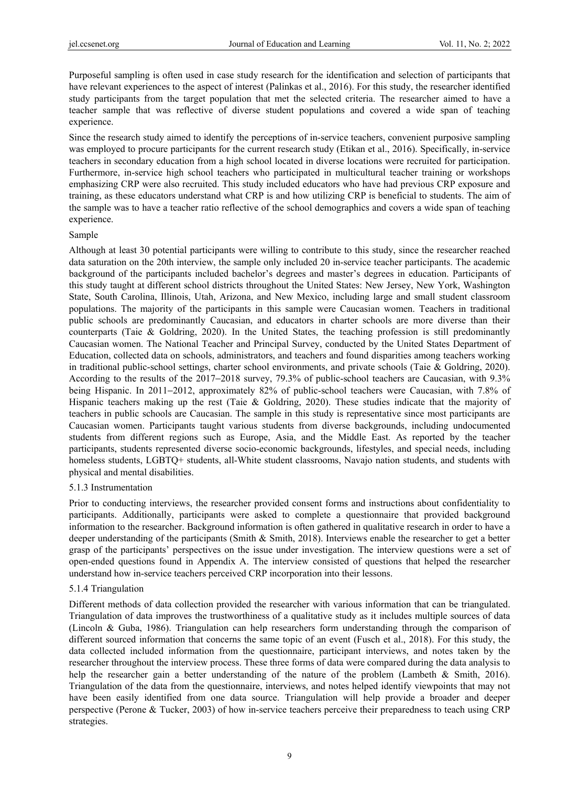Purposeful sampling is often used in case study research for the identification and selection of participants that have relevant experiences to the aspect of interest (Palinkas et al., 2016). For this study, the researcher identified study participants from the target population that met the selected criteria. The researcher aimed to have a teacher sample that was reflective of diverse student populations and covered a wide span of teaching experience.

Since the research study aimed to identify the perceptions of in-service teachers, convenient purposive sampling was employed to procure participants for the current research study (Etikan et al., 2016). Specifically, in-service teachers in secondary education from a high school located in diverse locations were recruited for participation. Furthermore, in-service high school teachers who participated in multicultural teacher training or workshops emphasizing CRP were also recruited. This study included educators who have had previous CRP exposure and training, as these educators understand what CRP is and how utilizing CRP is beneficial to students. The aim of the sample was to have a teacher ratio reflective of the school demographics and covers a wide span of teaching experience.

#### Sample

Although at least 30 potential participants were willing to contribute to this study, since the researcher reached data saturation on the 20th interview, the sample only included 20 in-service teacher participants. The academic background of the participants included bachelor's degrees and master's degrees in education. Participants of this study taught at different school districts throughout the United States: New Jersey, New York, Washington State, South Carolina, Illinois, Utah, Arizona, and New Mexico, including large and small student classroom populations. The majority of the participants in this sample were Caucasian women. Teachers in traditional public schools are predominantly Caucasian, and educators in charter schools are more diverse than their counterparts (Taie & Goldring, 2020). In the United States, the teaching profession is still predominantly Caucasian women. The National Teacher and Principal Survey, conducted by the United States Department of Education, collected data on schools, administrators, and teachers and found disparities among teachers working in traditional public-school settings, charter school environments, and private schools (Taie & Goldring, 2020). According to the results of the 2017−2018 survey, 79.3% of public-school teachers are Caucasian, with 9.3% being Hispanic. In 2011−2012, approximately 82% of public-school teachers were Caucasian, with 7.8% of Hispanic teachers making up the rest (Taie & Goldring, 2020). These studies indicate that the majority of teachers in public schools are Caucasian. The sample in this study is representative since most participants are Caucasian women. Participants taught various students from diverse backgrounds, including undocumented students from different regions such as Europe, Asia, and the Middle East. As reported by the teacher participants, students represented diverse socio-economic backgrounds, lifestyles, and special needs, including homeless students, LGBTQ+ students, all-White student classrooms, Navajo nation students, and students with physical and mental disabilities.

#### 5.1.3 Instrumentation

Prior to conducting interviews, the researcher provided consent forms and instructions about confidentiality to participants. Additionally, participants were asked to complete a questionnaire that provided background information to the researcher. Background information is often gathered in qualitative research in order to have a deeper understanding of the participants (Smith & Smith, 2018). Interviews enable the researcher to get a better grasp of the participants' perspectives on the issue under investigation. The interview questions were a set of open-ended questions found in Appendix A. The interview consisted of questions that helped the researcher understand how in-service teachers perceived CRP incorporation into their lessons.

#### 5.1.4 Triangulation

Different methods of data collection provided the researcher with various information that can be triangulated. Triangulation of data improves the trustworthiness of a qualitative study as it includes multiple sources of data (Lincoln & Guba, 1986). Triangulation can help researchers form understanding through the comparison of different sourced information that concerns the same topic of an event (Fusch et al., 2018). For this study, the data collected included information from the questionnaire, participant interviews, and notes taken by the researcher throughout the interview process. These three forms of data were compared during the data analysis to help the researcher gain a better understanding of the nature of the problem (Lambeth & Smith, 2016). Triangulation of the data from the questionnaire, interviews, and notes helped identify viewpoints that may not have been easily identified from one data source. Triangulation will help provide a broader and deeper perspective (Perone & Tucker, 2003) of how in-service teachers perceive their preparedness to teach using CRP strategies.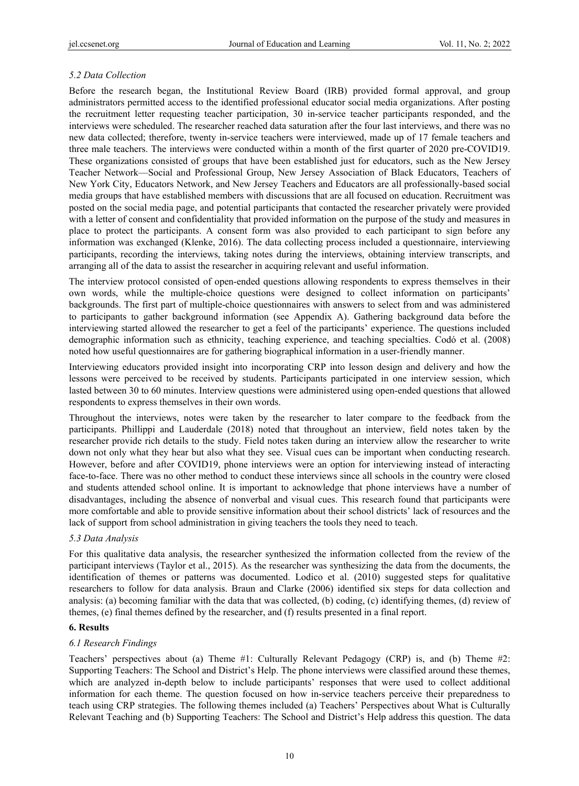# *5.2 Data Collection*

Before the research began, the Institutional Review Board (IRB) provided formal approval, and group administrators permitted access to the identified professional educator social media organizations. After posting the recruitment letter requesting teacher participation, 30 in-service teacher participants responded, and the interviews were scheduled. The researcher reached data saturation after the four last interviews, and there was no new data collected; therefore, twenty in-service teachers were interviewed, made up of 17 female teachers and three male teachers. The interviews were conducted within a month of the first quarter of 2020 pre-COVID19. These organizations consisted of groups that have been established just for educators, such as the New Jersey Teacher Network—Social and Professional Group, New Jersey Association of Black Educators, Teachers of New York City, Educators Network, and New Jersey Teachers and Educators are all professionally-based social media groups that have established members with discussions that are all focused on education. Recruitment was posted on the social media page, and potential participants that contacted the researcher privately were provided with a letter of consent and confidentiality that provided information on the purpose of the study and measures in place to protect the participants. A consent form was also provided to each participant to sign before any information was exchanged (Klenke, 2016). The data collecting process included a questionnaire, interviewing participants, recording the interviews, taking notes during the interviews, obtaining interview transcripts, and arranging all of the data to assist the researcher in acquiring relevant and useful information.

The interview protocol consisted of open-ended questions allowing respondents to express themselves in their own words, while the multiple-choice questions were designed to collect information on participants' backgrounds. The first part of multiple-choice questionnaires with answers to select from and was administered to participants to gather background information (see Appendix A). Gathering background data before the interviewing started allowed the researcher to get a feel of the participants' experience. The questions included demographic information such as ethnicity, teaching experience, and teaching specialties. Codó et al. (2008) noted how useful questionnaires are for gathering biographical information in a user-friendly manner.

Interviewing educators provided insight into incorporating CRP into lesson design and delivery and how the lessons were perceived to be received by students. Participants participated in one interview session, which lasted between 30 to 60 minutes. Interview questions were administered using open-ended questions that allowed respondents to express themselves in their own words.

Throughout the interviews, notes were taken by the researcher to later compare to the feedback from the participants. Phillippi and Lauderdale (2018) noted that throughout an interview, field notes taken by the researcher provide rich details to the study. Field notes taken during an interview allow the researcher to write down not only what they hear but also what they see. Visual cues can be important when conducting research. However, before and after COVID19, phone interviews were an option for interviewing instead of interacting face-to-face. There was no other method to conduct these interviews since all schools in the country were closed and students attended school online. It is important to acknowledge that phone interviews have a number of disadvantages, including the absence of nonverbal and visual cues. This research found that participants were more comfortable and able to provide sensitive information about their school districts' lack of resources and the lack of support from school administration in giving teachers the tools they need to teach.

# *5.3 Data Analysis*

For this qualitative data analysis, the researcher synthesized the information collected from the review of the participant interviews (Taylor et al., 2015). As the researcher was synthesizing the data from the documents, the identification of themes or patterns was documented. Lodico et al. (2010) suggested steps for qualitative researchers to follow for data analysis. Braun and Clarke (2006) identified six steps for data collection and analysis: (a) becoming familiar with the data that was collected, (b) coding, (c) identifying themes, (d) review of themes, (e) final themes defined by the researcher, and (f) results presented in a final report.

# **6. Results**

# *6.1 Research Findings*

Teachers' perspectives about (a) Theme #1: Culturally Relevant Pedagogy (CRP) is, and (b) Theme #2: Supporting Teachers: The School and District's Help. The phone interviews were classified around these themes, which are analyzed in-depth below to include participants' responses that were used to collect additional information for each theme. The question focused on how in-service teachers perceive their preparedness to teach using CRP strategies. The following themes included (a) Teachers' Perspectives about What is Culturally Relevant Teaching and (b) Supporting Teachers: The School and District's Help address this question. The data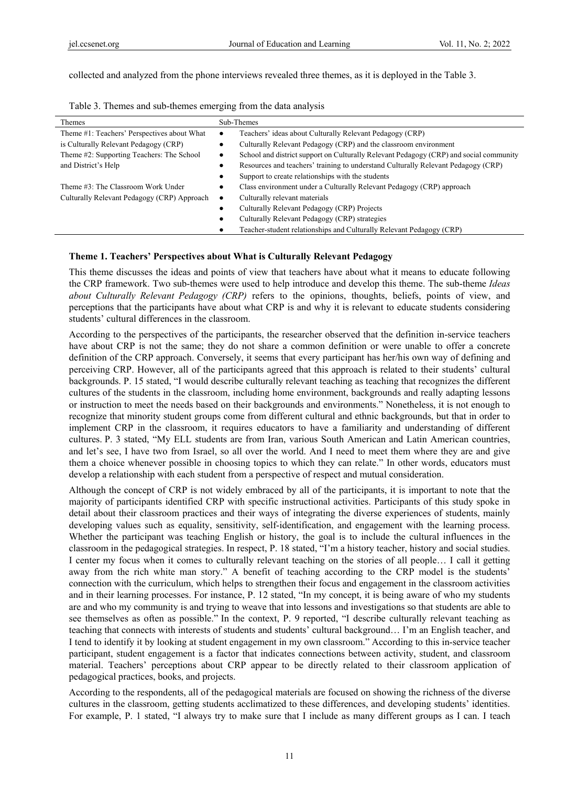collected and analyzed from the phone interviews revealed three themes, as it is deployed in the Table 3.

| Themes                                      | Sub-Themes                                                                                  |  |
|---------------------------------------------|---------------------------------------------------------------------------------------------|--|
| Theme #1: Teachers' Perspectives about What | Teachers' ideas about Culturally Relevant Pedagogy (CRP)<br>٠                               |  |
| is Culturally Relevant Pedagogy (CRP)       | Culturally Relevant Pedagogy (CRP) and the classroom environment                            |  |
| Theme #2: Supporting Teachers: The School   | School and district support on Culturally Relevant Pedagogy (CRP) and social community<br>٠ |  |
| and District's Help                         | Resources and teachers' training to understand Culturally Relevant Pedagogy (CRP)<br>٠      |  |
|                                             | Support to create relationships with the students                                           |  |
| Theme #3: The Classroom Work Under          | Class environment under a Culturally Relevant Pedagogy (CRP) approach                       |  |
| Culturally Relevant Pedagogy (CRP) Approach | Culturally relevant materials<br>٠                                                          |  |
|                                             | Culturally Relevant Pedagogy (CRP) Projects                                                 |  |
|                                             | Culturally Relevant Pedagogy (CRP) strategies                                               |  |
|                                             | Teacher-student relationships and Culturally Relevant Pedagogy (CRP)                        |  |

| Table 3. Themes and sub-themes emerging from the data analysis |  |  |  |  |  |  |  |
|----------------------------------------------------------------|--|--|--|--|--|--|--|
|----------------------------------------------------------------|--|--|--|--|--|--|--|

## **Theme 1. Teachers' Perspectives about What is Culturally Relevant Pedagogy**

This theme discusses the ideas and points of view that teachers have about what it means to educate following the CRP framework. Two sub-themes were used to help introduce and develop this theme. The sub-theme *Ideas about Culturally Relevant Pedagogy (CRP)* refers to the opinions, thoughts, beliefs, points of view, and perceptions that the participants have about what CRP is and why it is relevant to educate students considering students' cultural differences in the classroom.

According to the perspectives of the participants, the researcher observed that the definition in-service teachers have about CRP is not the same; they do not share a common definition or were unable to offer a concrete definition of the CRP approach. Conversely, it seems that every participant has her/his own way of defining and perceiving CRP. However, all of the participants agreed that this approach is related to their students' cultural backgrounds. P. 15 stated, "I would describe culturally relevant teaching as teaching that recognizes the different cultures of the students in the classroom, including home environment, backgrounds and really adapting lessons or instruction to meet the needs based on their backgrounds and environments." Nonetheless, it is not enough to recognize that minority student groups come from different cultural and ethnic backgrounds, but that in order to implement CRP in the classroom, it requires educators to have a familiarity and understanding of different cultures. P. 3 stated, "My ELL students are from Iran, various South American and Latin American countries, and let's see, I have two from Israel, so all over the world. And I need to meet them where they are and give them a choice whenever possible in choosing topics to which they can relate." In other words, educators must develop a relationship with each student from a perspective of respect and mutual consideration.

Although the concept of CRP is not widely embraced by all of the participants, it is important to note that the majority of participants identified CRP with specific instructional activities. Participants of this study spoke in detail about their classroom practices and their ways of integrating the diverse experiences of students, mainly developing values such as equality, sensitivity, self-identification, and engagement with the learning process. Whether the participant was teaching English or history, the goal is to include the cultural influences in the classroom in the pedagogical strategies. In respect, P. 18 stated, "I'm a history teacher, history and social studies. I center my focus when it comes to culturally relevant teaching on the stories of all people… I call it getting away from the rich white man story." A benefit of teaching according to the CRP model is the students' connection with the curriculum, which helps to strengthen their focus and engagement in the classroom activities and in their learning processes. For instance, P. 12 stated, "In my concept, it is being aware of who my students are and who my community is and trying to weave that into lessons and investigations so that students are able to see themselves as often as possible." In the context, P. 9 reported, "I describe culturally relevant teaching as teaching that connects with interests of students and students' cultural background… I'm an English teacher, and I tend to identify it by looking at student engagement in my own classroom." According to this in-service teacher participant, student engagement is a factor that indicates connections between activity, student, and classroom material. Teachers' perceptions about CRP appear to be directly related to their classroom application of pedagogical practices, books, and projects.

According to the respondents, all of the pedagogical materials are focused on showing the richness of the diverse cultures in the classroom, getting students acclimatized to these differences, and developing students' identities. For example, P. 1 stated, "I always try to make sure that I include as many different groups as I can. I teach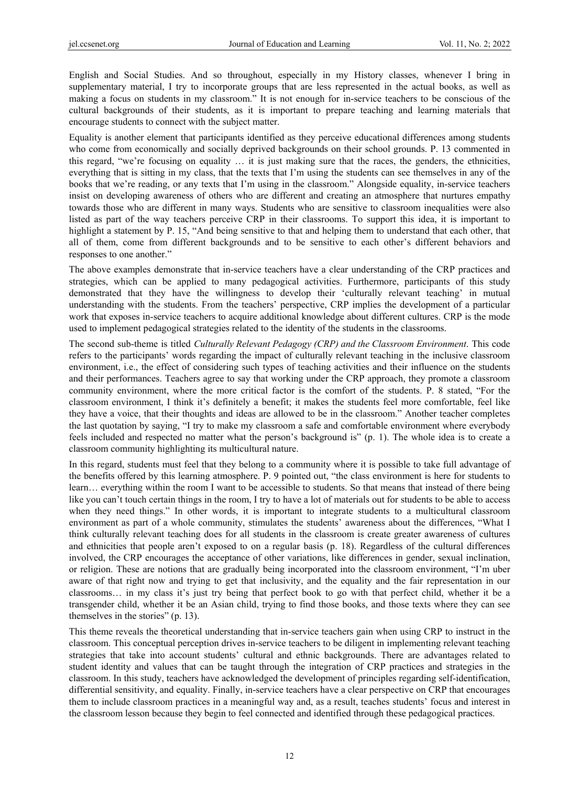English and Social Studies. And so throughout, especially in my History classes, whenever I bring in supplementary material, I try to incorporate groups that are less represented in the actual books, as well as making a focus on students in my classroom." It is not enough for in-service teachers to be conscious of the cultural backgrounds of their students, as it is important to prepare teaching and learning materials that encourage students to connect with the subject matter.

Equality is another element that participants identified as they perceive educational differences among students who come from economically and socially deprived backgrounds on their school grounds. P. 13 commented in this regard, "we're focusing on equality … it is just making sure that the races, the genders, the ethnicities, everything that is sitting in my class, that the texts that I'm using the students can see themselves in any of the books that we're reading, or any texts that I'm using in the classroom." Alongside equality, in-service teachers insist on developing awareness of others who are different and creating an atmosphere that nurtures empathy towards those who are different in many ways. Students who are sensitive to classroom inequalities were also listed as part of the way teachers perceive CRP in their classrooms. To support this idea, it is important to highlight a statement by P. 15, "And being sensitive to that and helping them to understand that each other, that all of them, come from different backgrounds and to be sensitive to each other's different behaviors and responses to one another."

The above examples demonstrate that in-service teachers have a clear understanding of the CRP practices and strategies, which can be applied to many pedagogical activities. Furthermore, participants of this study demonstrated that they have the willingness to develop their 'culturally relevant teaching' in mutual understanding with the students. From the teachers' perspective, CRP implies the development of a particular work that exposes in-service teachers to acquire additional knowledge about different cultures. CRP is the mode used to implement pedagogical strategies related to the identity of the students in the classrooms.

The second sub-theme is titled *Culturally Relevant Pedagogy (CRP) and the Classroom Environment*. This code refers to the participants' words regarding the impact of culturally relevant teaching in the inclusive classroom environment, i.e., the effect of considering such types of teaching activities and their influence on the students and their performances. Teachers agree to say that working under the CRP approach, they promote a classroom community environment, where the more critical factor is the comfort of the students. P. 8 stated, "For the classroom environment, I think it's definitely a benefit; it makes the students feel more comfortable, feel like they have a voice, that their thoughts and ideas are allowed to be in the classroom." Another teacher completes the last quotation by saying, "I try to make my classroom a safe and comfortable environment where everybody feels included and respected no matter what the person's background is" (p. 1). The whole idea is to create a classroom community highlighting its multicultural nature.

In this regard, students must feel that they belong to a community where it is possible to take full advantage of the benefits offered by this learning atmosphere. P. 9 pointed out, "the class environment is here for students to learn… everything within the room I want to be accessible to students. So that means that instead of there being like you can't touch certain things in the room, I try to have a lot of materials out for students to be able to access when they need things." In other words, it is important to integrate students to a multicultural classroom environment as part of a whole community, stimulates the students' awareness about the differences, "What I think culturally relevant teaching does for all students in the classroom is create greater awareness of cultures and ethnicities that people aren't exposed to on a regular basis (p. 18). Regardless of the cultural differences involved, the CRP encourages the acceptance of other variations, like differences in gender, sexual inclination, or religion. These are notions that are gradually being incorporated into the classroom environment, "I'm uber aware of that right now and trying to get that inclusivity, and the equality and the fair representation in our classrooms… in my class it's just try being that perfect book to go with that perfect child, whether it be a transgender child, whether it be an Asian child, trying to find those books, and those texts where they can see themselves in the stories" (p. 13).

This theme reveals the theoretical understanding that in-service teachers gain when using CRP to instruct in the classroom. This conceptual perception drives in-service teachers to be diligent in implementing relevant teaching strategies that take into account students' cultural and ethnic backgrounds. There are advantages related to student identity and values that can be taught through the integration of CRP practices and strategies in the classroom. In this study, teachers have acknowledged the development of principles regarding self-identification, differential sensitivity, and equality. Finally, in-service teachers have a clear perspective on CRP that encourages them to include classroom practices in a meaningful way and, as a result, teaches students' focus and interest in the classroom lesson because they begin to feel connected and identified through these pedagogical practices.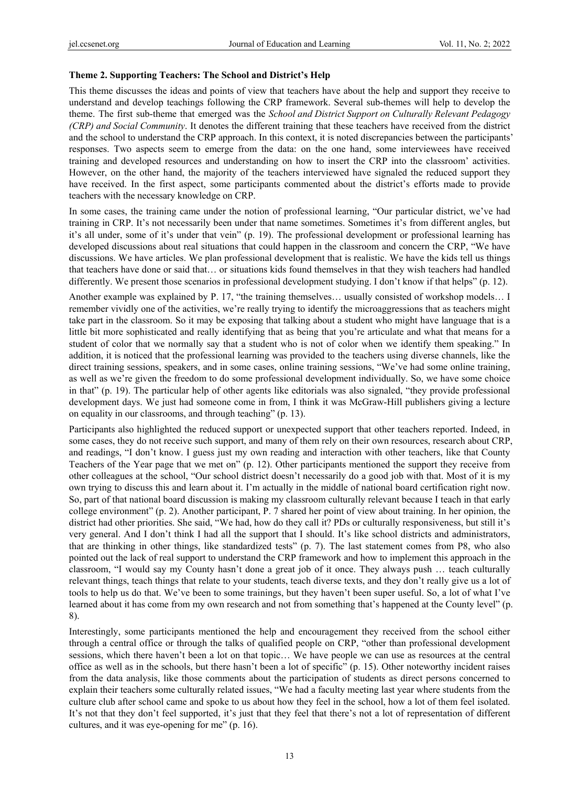#### **Theme 2. Supporting Teachers: The School and District's Help**

This theme discusses the ideas and points of view that teachers have about the help and support they receive to understand and develop teachings following the CRP framework. Several sub-themes will help to develop the theme. The first sub-theme that emerged was the *School and District Support on Culturally Relevant Pedagogy (CRP) and Social Community*. It denotes the different training that these teachers have received from the district and the school to understand the CRP approach. In this context, it is noted discrepancies between the participants' responses. Two aspects seem to emerge from the data: on the one hand, some interviewees have received training and developed resources and understanding on how to insert the CRP into the classroom' activities. However, on the other hand, the majority of the teachers interviewed have signaled the reduced support they have received. In the first aspect, some participants commented about the district's efforts made to provide teachers with the necessary knowledge on CRP.

In some cases, the training came under the notion of professional learning, "Our particular district, we've had training in CRP. It's not necessarily been under that name sometimes. Sometimes it's from different angles, but it's all under, some of it's under that vein" (p. 19). The professional development or professional learning has developed discussions about real situations that could happen in the classroom and concern the CRP, "We have discussions. We have articles. We plan professional development that is realistic. We have the kids tell us things that teachers have done or said that… or situations kids found themselves in that they wish teachers had handled differently. We present those scenarios in professional development studying. I don't know if that helps" (p. 12).

Another example was explained by P. 17, "the training themselves... usually consisted of workshop models... I remember vividly one of the activities, we're really trying to identify the microaggressions that as teachers might take part in the classroom. So it may be exposing that talking about a student who might have language that is a little bit more sophisticated and really identifying that as being that you're articulate and what that means for a student of color that we normally say that a student who is not of color when we identify them speaking." In addition, it is noticed that the professional learning was provided to the teachers using diverse channels, like the direct training sessions, speakers, and in some cases, online training sessions, "We've had some online training, as well as we're given the freedom to do some professional development individually. So, we have some choice in that" (p. 19). The particular help of other agents like editorials was also signaled, "they provide professional development days. We just had someone come in from, I think it was McGraw-Hill publishers giving a lecture on equality in our classrooms, and through teaching" (p. 13).

Participants also highlighted the reduced support or unexpected support that other teachers reported. Indeed, in some cases, they do not receive such support, and many of them rely on their own resources, research about CRP, and readings, "I don't know. I guess just my own reading and interaction with other teachers, like that County Teachers of the Year page that we met on" (p. 12). Other participants mentioned the support they receive from other colleagues at the school, "Our school district doesn't necessarily do a good job with that. Most of it is my own trying to discuss this and learn about it. I'm actually in the middle of national board certification right now. So, part of that national board discussion is making my classroom culturally relevant because I teach in that early college environment" (p. 2). Another participant, P. 7 shared her point of view about training. In her opinion, the district had other priorities. She said, "We had, how do they call it? PDs or culturally responsiveness, but still it's very general. And I don't think I had all the support that I should. It's like school districts and administrators, that are thinking in other things, like standardized tests" (p. 7). The last statement comes from P8, who also pointed out the lack of real support to understand the CRP framework and how to implement this approach in the classroom, "I would say my County hasn't done a great job of it once. They always push … teach culturally relevant things, teach things that relate to your students, teach diverse texts, and they don't really give us a lot of tools to help us do that. We've been to some trainings, but they haven't been super useful. So, a lot of what I've learned about it has come from my own research and not from something that's happened at the County level" (p. 8).

Interestingly, some participants mentioned the help and encouragement they received from the school either through a central office or through the talks of qualified people on CRP, "other than professional development sessions, which there haven't been a lot on that topic… We have people we can use as resources at the central office as well as in the schools, but there hasn't been a lot of specific" (p. 15). Other noteworthy incident raises from the data analysis, like those comments about the participation of students as direct persons concerned to explain their teachers some culturally related issues, "We had a faculty meeting last year where students from the culture club after school came and spoke to us about how they feel in the school, how a lot of them feel isolated. It's not that they don't feel supported, it's just that they feel that there's not a lot of representation of different cultures, and it was eye-opening for me" (p. 16).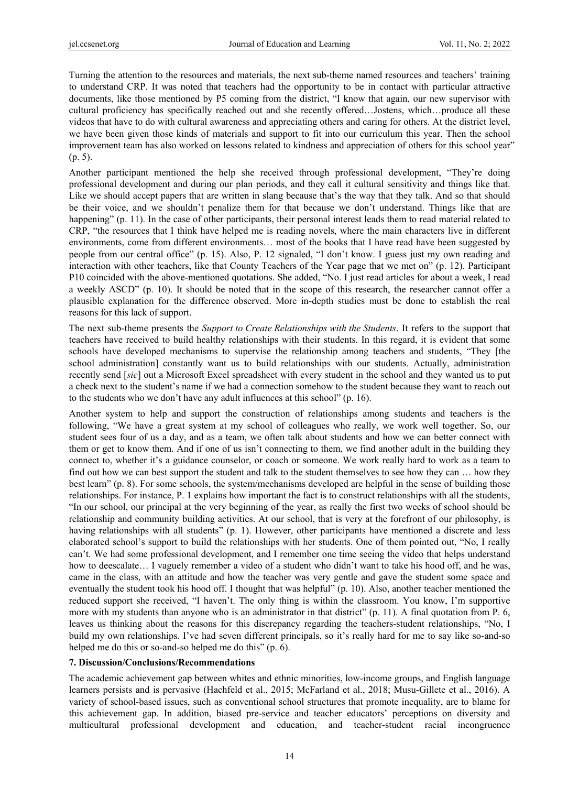Turning the attention to the resources and materials, the next sub-theme named resources and teachers' training to understand CRP. It was noted that teachers had the opportunity to be in contact with particular attractive documents, like those mentioned by P5 coming from the district, "I know that again, our new supervisor with cultural proficiency has specifically reached out and she recently offered…Jostens, which…produce all these videos that have to do with cultural awareness and appreciating others and caring for others. At the district level, we have been given those kinds of materials and support to fit into our curriculum this year. Then the school improvement team has also worked on lessons related to kindness and appreciation of others for this school year" (p. 5).

Another participant mentioned the help she received through professional development, "They're doing professional development and during our plan periods, and they call it cultural sensitivity and things like that. Like we should accept papers that are written in slang because that's the way that they talk. And so that should be their voice, and we shouldn't penalize them for that because we don't understand. Things like that are happening" (p. 11). In the case of other participants, their personal interest leads them to read material related to CRP, "the resources that I think have helped me is reading novels, where the main characters live in different environments, come from different environments… most of the books that I have read have been suggested by people from our central office" (p. 15). Also, P. 12 signaled, "I don't know. I guess just my own reading and interaction with other teachers, like that County Teachers of the Year page that we met on" (p. 12). Participant P10 coincided with the above-mentioned quotations. She added, "No. I just read articles for about a week, I read a weekly ASCD" (p. 10). It should be noted that in the scope of this research, the researcher cannot offer a plausible explanation for the difference observed. More in-depth studies must be done to establish the real reasons for this lack of support.

The next sub-theme presents the *Support to Create Relationships with the Students*. It refers to the support that teachers have received to build healthy relationships with their students. In this regard, it is evident that some schools have developed mechanisms to supervise the relationship among teachers and students, "They [the school administration] constantly want us to build relationships with our students. Actually, administration recently send [*sic*] out a Microsoft Excel spreadsheet with every student in the school and they wanted us to put a check next to the student's name if we had a connection somehow to the student because they want to reach out to the students who we don't have any adult influences at this school" (p. 16).

Another system to help and support the construction of relationships among students and teachers is the following, "We have a great system at my school of colleagues who really, we work well together. So, our student sees four of us a day, and as a team, we often talk about students and how we can better connect with them or get to know them. And if one of us isn't connecting to them, we find another adult in the building they connect to, whether it's a guidance counselor, or coach or someone. We work really hard to work as a team to find out how we can best support the student and talk to the student themselves to see how they can … how they best learn" (p. 8). For some schools, the system/mechanisms developed are helpful in the sense of building those relationships. For instance, P. 1 explains how important the fact is to construct relationships with all the students, "In our school, our principal at the very beginning of the year, as really the first two weeks of school should be relationship and community building activities. At our school, that is very at the forefront of our philosophy, is having relationships with all students" (p. 1). However, other participants have mentioned a discrete and less elaborated school's support to build the relationships with her students. One of them pointed out, "No, I really can't. We had some professional development, and I remember one time seeing the video that helps understand how to deescalate… I vaguely remember a video of a student who didn't want to take his hood off, and he was, came in the class, with an attitude and how the teacher was very gentle and gave the student some space and eventually the student took his hood off. I thought that was helpful" (p. 10). Also, another teacher mentioned the reduced support she received, "I haven't. The only thing is within the classroom. You know, I'm supportive more with my students than anyone who is an administrator in that district" (p. 11). A final quotation from P. 6, leaves us thinking about the reasons for this discrepancy regarding the teachers-student relationships, "No, I build my own relationships. I've had seven different principals, so it's really hard for me to say like so-and-so helped me do this or so-and-so helped me do this" (p. 6).

#### **7. Discussion/Conclusions/Recommendations**

The academic achievement gap between whites and ethnic minorities, low-income groups, and English language learners persists and is pervasive (Hachfeld et al., 2015; McFarland et al., 2018; Musu-Gillete et al., 2016). A variety of school-based issues, such as conventional school structures that promote inequality, are to blame for this achievement gap. In addition, biased pre-service and teacher educators' perceptions on diversity and multicultural professional development and education, and teacher-student racial incongruence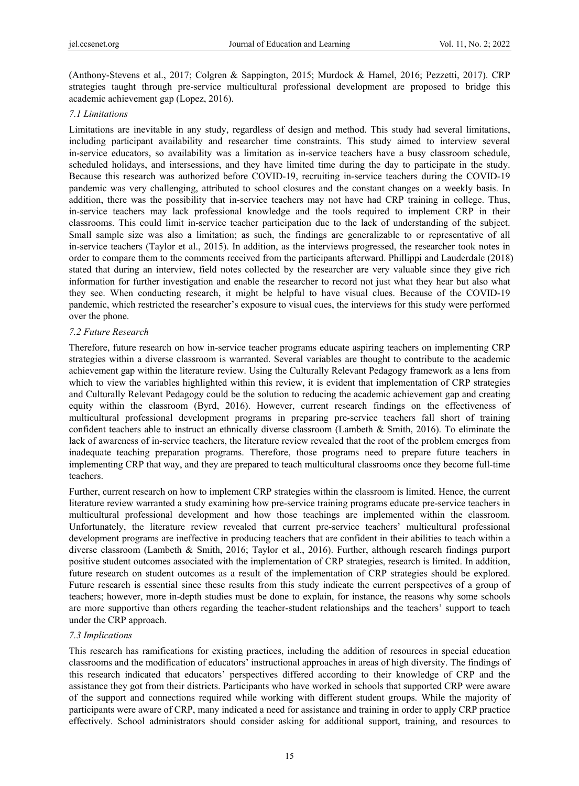(Anthony-Stevens et al., 2017; Colgren & Sappington, 2015; Murdock & Hamel, 2016; Pezzetti, 2017). CRP strategies taught through pre-service multicultural professional development are proposed to bridge this academic achievement gap (Lopez, 2016).

### *7.1 Limitations*

Limitations are inevitable in any study, regardless of design and method. This study had several limitations, including participant availability and researcher time constraints. This study aimed to interview several in-service educators, so availability was a limitation as in-service teachers have a busy classroom schedule, scheduled holidays, and intersessions, and they have limited time during the day to participate in the study. Because this research was authorized before COVID-19, recruiting in-service teachers during the COVID-19 pandemic was very challenging, attributed to school closures and the constant changes on a weekly basis. In addition, there was the possibility that in-service teachers may not have had CRP training in college. Thus, in-service teachers may lack professional knowledge and the tools required to implement CRP in their classrooms. This could limit in-service teacher participation due to the lack of understanding of the subject. Small sample size was also a limitation; as such, the findings are generalizable to or representative of all in-service teachers (Taylor et al., 2015). In addition, as the interviews progressed, the researcher took notes in order to compare them to the comments received from the participants afterward. Phillippi and Lauderdale (2018) stated that during an interview, field notes collected by the researcher are very valuable since they give rich information for further investigation and enable the researcher to record not just what they hear but also what they see. When conducting research, it might be helpful to have visual clues. Because of the COVID-19 pandemic, which restricted the researcher's exposure to visual cues, the interviews for this study were performed over the phone.

## *7.2 Future Research*

Therefore, future research on how in-service teacher programs educate aspiring teachers on implementing CRP strategies within a diverse classroom is warranted. Several variables are thought to contribute to the academic achievement gap within the literature review. Using the Culturally Relevant Pedagogy framework as a lens from which to view the variables highlighted within this review, it is evident that implementation of CRP strategies and Culturally Relevant Pedagogy could be the solution to reducing the academic achievement gap and creating equity within the classroom (Byrd, 2016). However, current research findings on the effectiveness of multicultural professional development programs in preparing pre-service teachers fall short of training confident teachers able to instruct an ethnically diverse classroom (Lambeth & Smith, 2016). To eliminate the lack of awareness of in-service teachers, the literature review revealed that the root of the problem emerges from inadequate teaching preparation programs. Therefore, those programs need to prepare future teachers in implementing CRP that way, and they are prepared to teach multicultural classrooms once they become full-time teachers.

Further, current research on how to implement CRP strategies within the classroom is limited. Hence, the current literature review warranted a study examining how pre-service training programs educate pre-service teachers in multicultural professional development and how those teachings are implemented within the classroom. Unfortunately, the literature review revealed that current pre-service teachers' multicultural professional development programs are ineffective in producing teachers that are confident in their abilities to teach within a diverse classroom (Lambeth & Smith, 2016; Taylor et al., 2016). Further, although research findings purport positive student outcomes associated with the implementation of CRP strategies, research is limited. In addition, future research on student outcomes as a result of the implementation of CRP strategies should be explored. Future research is essential since these results from this study indicate the current perspectives of a group of teachers; however, more in-depth studies must be done to explain, for instance, the reasons why some schools are more supportive than others regarding the teacher-student relationships and the teachers' support to teach under the CRP approach.

#### *7.3 Implications*

This research has ramifications for existing practices, including the addition of resources in special education classrooms and the modification of educators' instructional approaches in areas of high diversity. The findings of this research indicated that educators' perspectives differed according to their knowledge of CRP and the assistance they got from their districts. Participants who have worked in schools that supported CRP were aware of the support and connections required while working with different student groups. While the majority of participants were aware of CRP, many indicated a need for assistance and training in order to apply CRP practice effectively. School administrators should consider asking for additional support, training, and resources to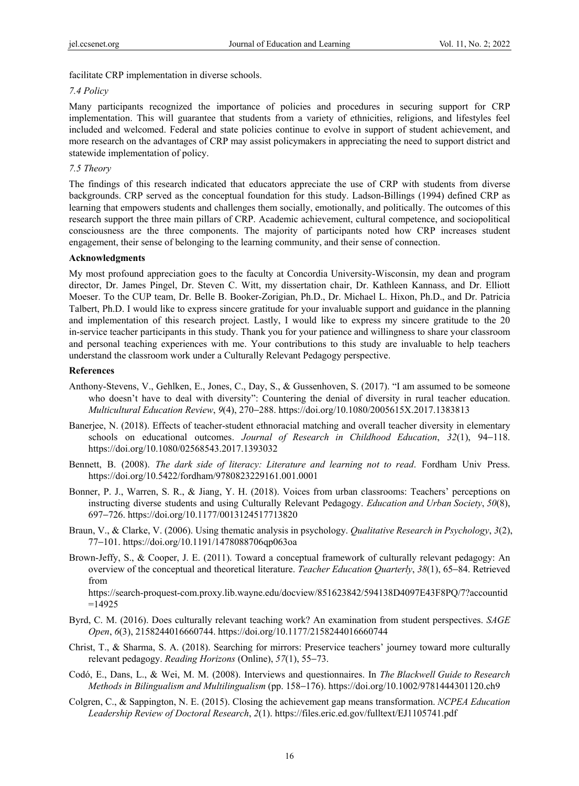facilitate CRP implementation in diverse schools.

#### *7.4 Policy*

Many participants recognized the importance of policies and procedures in securing support for CRP implementation. This will guarantee that students from a variety of ethnicities, religions, and lifestyles feel included and welcomed. Federal and state policies continue to evolve in support of student achievement, and more research on the advantages of CRP may assist policymakers in appreciating the need to support district and statewide implementation of policy.

#### *7.5 Theory*

The findings of this research indicated that educators appreciate the use of CRP with students from diverse backgrounds. CRP served as the conceptual foundation for this study. Ladson-Billings (1994) defined CRP as learning that empowers students and challenges them socially, emotionally, and politically. The outcomes of this research support the three main pillars of CRP. Academic achievement, cultural competence, and sociopolitical consciousness are the three components. The majority of participants noted how CRP increases student engagement, their sense of belonging to the learning community, and their sense of connection.

#### **Acknowledgments**

My most profound appreciation goes to the faculty at Concordia University-Wisconsin, my dean and program director, Dr. James Pingel, Dr. Steven C. Witt, my dissertation chair, Dr. Kathleen Kannass, and Dr. Elliott Moeser. To the CUP team, Dr. Belle B. Booker-Zorigian, Ph.D., Dr. Michael L. Hixon, Ph.D., and Dr. Patricia Talbert, Ph.D. I would like to express sincere gratitude for your invaluable support and guidance in the planning and implementation of this research project. Lastly, I would like to express my sincere gratitude to the 20 in-service teacher participants in this study. Thank you for your patience and willingness to share your classroom and personal teaching experiences with me. Your contributions to this study are invaluable to help teachers understand the classroom work under a Culturally Relevant Pedagogy perspective.

#### **References**

- Anthony-Stevens, V., Gehlken, E., Jones, C., Day, S., & Gussenhoven, S. (2017). "I am assumed to be someone who doesn't have to deal with diversity": Countering the denial of diversity in rural teacher education. *Multicultural Education Review*, *9*(4), 270−288. https://doi.org/10.1080/2005615X.2017.1383813
- Banerjee, N. (2018). Effects of teacher-student ethnoracial matching and overall teacher diversity in elementary schools on educational outcomes. *Journal of Research in Childhood Education*, *32*(1), 94−118. https://doi.org/10.1080/02568543.2017.1393032
- Bennett, B. (2008). *The dark side of literacy: Literature and learning not to read*. Fordham Univ Press. https://doi.org/10.5422/fordham/9780823229161.001.0001
- Bonner, P. J., Warren, S. R., & Jiang, Y. H. (2018). Voices from urban classrooms: Teachers' perceptions on instructing diverse students and using Culturally Relevant Pedagogy. *Education and Urban Society*, *50*(8), 697−726. https://doi.org/10.1177/0013124517713820
- Braun, V., & Clarke, V. (2006). Using thematic analysis in psychology. *Qualitative Research in Psychology*, *3*(2), 77−101. https://doi.org/10.1191/1478088706qp063oa
- Brown-Jeffy, S., & Cooper, J. E. (2011). Toward a conceptual framework of culturally relevant pedagogy: An overview of the conceptual and theoretical literature. *Teacher Education Quarterly*, *38*(1), 65−84. Retrieved from

https://search-proquest-com.proxy.lib.wayne.edu/docview/851623842/594138D4097E43F8PQ/7?accountid  $=14925$ 

- Byrd, C. M. (2016). Does culturally relevant teaching work? An examination from student perspectives. *SAGE Open*, *6*(3), 2158244016660744. https://doi.org/10.1177/2158244016660744
- Christ, T., & Sharma, S. A. (2018). Searching for mirrors: Preservice teachers' journey toward more culturally relevant pedagogy. *Reading Horizons* (Online), *57*(1), 55−73.
- Codó, E., Dans, L., & Wei, M. M. (2008). Interviews and questionnaires. In *The Blackwell Guide to Research Methods in Bilingualism and Multilingualism* (pp. 158−176). https://doi.org/10.1002/9781444301120.ch9
- Colgren, C., & Sappington, N. E. (2015). Closing the achievement gap means transformation. *NCPEA Education Leadership Review of Doctoral Research*, *2*(1). https://files.eric.ed.gov/fulltext/EJ1105741.pdf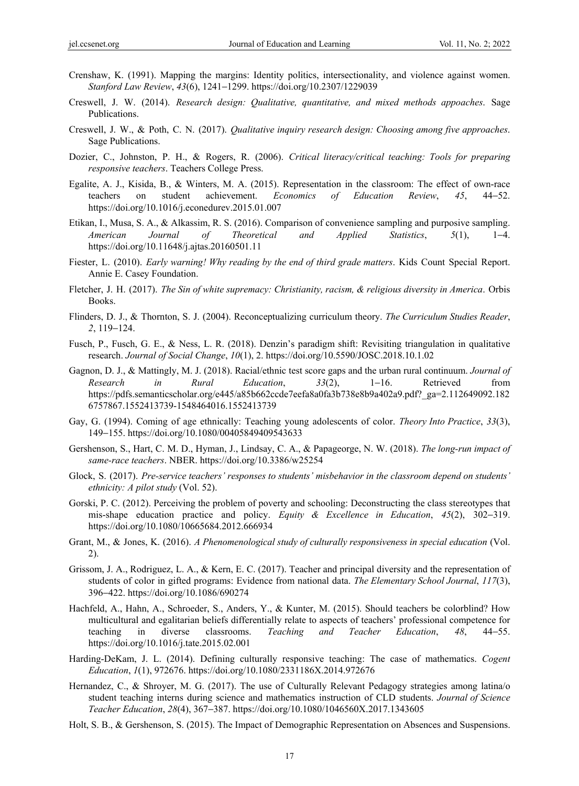- Crenshaw, K. (1991). Mapping the margins: Identity politics, intersectionality, and violence against women. *Stanford Law Review*, *43*(6), 1241−1299. https://doi.org/10.2307/1229039
- Creswell, J. W. (2014). *Research design: Qualitative, quantitative, and mixed methods appoaches*. Sage Publications.
- Creswell, J. W., & Poth, C. N. (2017). *Qualitative inquiry research design: Choosing among five approaches*. Sage Publications.
- Dozier, C., Johnston, P. H., & Rogers, R. (2006). *Critical literacy/critical teaching: Tools for preparing responsive teachers*. Teachers College Press.
- Egalite, A. J., Kisida, B., & Winters, M. A. (2015). Representation in the classroom: The effect of own-race teachers on student achievement. *Economics of Education Review*, *45*, 44−52. https://doi.org/10.1016/j.econedurev.2015.01.007
- Etikan, I., Musa, S. A., & Alkassim, R. S. (2016). Comparison of convenience sampling and purposive sampling. *American Journal of Theoretical and Applied Statistics*, *5*(1), 1−4. https://doi.org/10.11648/j.ajtas.20160501.11
- Fiester, L. (2010). *Early warning! Why reading by the end of third grade matters*. Kids Count Special Report. Annie E. Casey Foundation.
- Fletcher, J. H. (2017). *The Sin of white supremacy: Christianity, racism, & religious diversity in America*. Orbis Books.
- Flinders, D. J., & Thornton, S. J. (2004). Reconceptualizing curriculum theory. *The Curriculum Studies Reader*, *2*, 119−124.
- Fusch, P., Fusch, G. E., & Ness, L. R. (2018). Denzin's paradigm shift: Revisiting triangulation in qualitative research. *Journal of Social Change*, *10*(1), 2. https://doi.org/10.5590/JOSC.2018.10.1.02
- Gagnon, D. J., & Mattingly, M. J. (2018). Racial/ethnic test score gaps and the urban rural continuum. *Journal of Research in Rural Education*, *33*(2), 1−16. Retrieved from https://pdfs.semanticscholar.org/e445/a85b662ccde7eefa8a0fa3b738e8b9a402a9.pdf?\_ga=2.112649092.182 6757867.1552413739-1548464016.1552413739
- Gay, G. (1994). Coming of age ethnically: Teaching young adolescents of color. *Theory Into Practice*, *33*(3), 149−155. https://doi.org/10.1080/00405849409543633
- Gershenson, S., Hart, C. M. D., Hyman, J., Lindsay, C. A., & Papageorge, N. W. (2018). *The long-run impact of same-race teachers*. NBER. https://doi.org/10.3386/w25254
- Glock, S. (2017). *Pre-service teachers' responses to students' misbehavior in the classroom depend on students' ethnicity: A pilot study* (Vol. 52).
- Gorski, P. C. (2012). Perceiving the problem of poverty and schooling: Deconstructing the class stereotypes that mis-shape education practice and policy. *Equity & Excellence in Education*, *45*(2), 302−319. https://doi.org/10.1080/10665684.2012.666934
- Grant, M., & Jones, K. (2016). *A Phenomenological study of culturally responsiveness in special education* (Vol. 2).
- Grissom, J. A., Rodriguez, L. A., & Kern, E. C. (2017). Teacher and principal diversity and the representation of students of color in gifted programs: Evidence from national data. *The Elementary School Journal*, *117*(3), 396−422. https://doi.org/10.1086/690274
- Hachfeld, A., Hahn, A., Schroeder, S., Anders, Y., & Kunter, M. (2015). Should teachers be colorblind? How multicultural and egalitarian beliefs differentially relate to aspects of teachers' professional competence for teaching in diverse classrooms. *Teaching and Teacher Education*, *48*, 44−55. https://doi.org/10.1016/j.tate.2015.02.001
- Harding-DeKam, J. L. (2014). Defining culturally responsive teaching: The case of mathematics. *Cogent Education*, *1*(1), 972676. https://doi.org/10.1080/2331186X.2014.972676
- Hernandez, C., & Shroyer, M. G. (2017). The use of Culturally Relevant Pedagogy strategies among latina/o student teaching interns during science and mathematics instruction of CLD students. *Journal of Science Teacher Education*, *28*(4), 367−387. https://doi.org/10.1080/1046560X.2017.1343605
- Holt, S. B., & Gershenson, S. (2015). The Impact of Demographic Representation on Absences and Suspensions.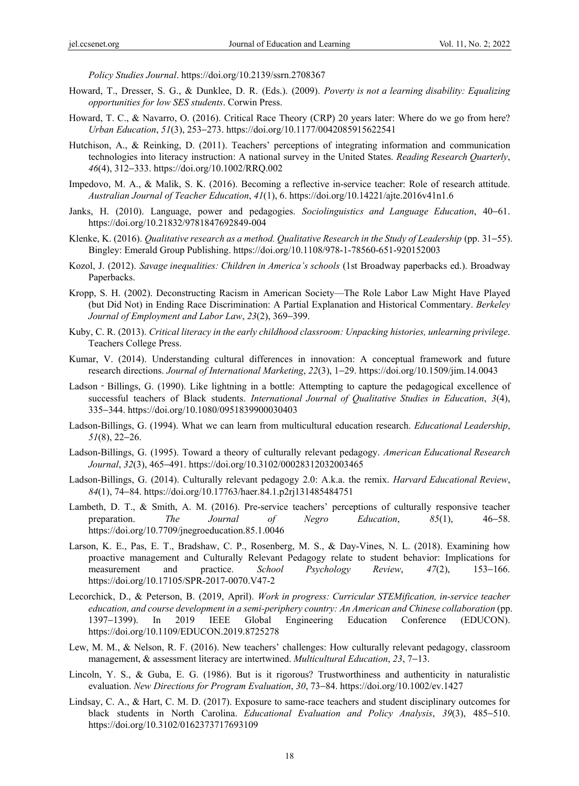*Policy Studies Journal*. https://doi.org/10.2139/ssrn.2708367

- Howard, T., Dresser, S. G., & Dunklee, D. R. (Eds.). (2009). *Poverty is not a learning disability: Equalizing opportunities for low SES students*. Corwin Press.
- Howard, T. C., & Navarro, O. (2016). Critical Race Theory (CRP) 20 years later: Where do we go from here? *Urban Education*, *51*(3), 253−273. https://doi.org/10.1177/0042085915622541
- Hutchison, A., & Reinking, D. (2011). Teachers' perceptions of integrating information and communication technologies into literacy instruction: A national survey in the United States. *Reading Research Quarterly*, *46*(4), 312−333. https://doi.org/10.1002/RRQ.002
- Impedovo, M. A., & Malik, S. K. (2016). Becoming a reflective in-service teacher: Role of research attitude. *Australian Journal of Teacher Education*, *41*(1), 6. https://doi.org/10.14221/ajte.2016v41n1.6
- Janks, H. (2010). Language, power and pedagogies. *Sociolinguistics and Language Education*, 40−61. https://doi.org/10.21832/9781847692849-004
- Klenke, K. (2016). *Qualitative research as a method. Qualitative Research in the Study of Leadership* (pp. 31−55). Bingley: Emerald Group Publishing. https://doi.org/10.1108/978-1-78560-651-920152003
- Kozol, J. (2012). *Savage inequalities: Children in America's schools* (1st Broadway paperbacks ed.). Broadway Paperbacks.
- Kropp, S. H. (2002). Deconstructing Racism in American Society—The Role Labor Law Might Have Played (but Did Not) in Ending Race Discrimination: A Partial Explanation and Historical Commentary. *Berkeley Journal of Employment and Labor Law*, *23*(2), 369−399.
- Kuby, C. R. (2013). *Critical literacy in the early childhood classroom: Unpacking histories, unlearning privilege*. Teachers College Press.
- Kumar, V. (2014). Understanding cultural differences in innovation: A conceptual framework and future research directions. *Journal of International Marketing*, *22*(3), 1−29. https://doi.org/10.1509/jim.14.0043
- Ladson Billings, G. (1990). Like lightning in a bottle: Attempting to capture the pedagogical excellence of successful teachers of Black students. *International Journal of Qualitative Studies in Education*, *3*(4), 335−344. https://doi.org/10.1080/0951839900030403
- Ladson-Billings, G. (1994). What we can learn from multicultural education research. *Educational Leadership*, *51*(8), 22−26.
- Ladson-Billings, G. (1995). Toward a theory of culturally relevant pedagogy. *American Educational Research Journal*, *32*(3), 465−491. https://doi.org/10.3102/00028312032003465
- Ladson-Billings, G. (2014). Culturally relevant pedagogy 2.0: A.k.a. the remix. *Harvard Educational Review*, *84*(1), 74−84. https://doi.org/10.17763/haer.84.1.p2rj131485484751
- Lambeth, D. T., & Smith, A. M. (2016). Pre-service teachers' perceptions of culturally responsive teacher preparation. *The Journal of Negro Education*, *85*(1), 46−58. https://doi.org/10.7709/jnegroeducation.85.1.0046
- Larson, K. E., Pas, E. T., Bradshaw, C. P., Rosenberg, M. S., & Day-Vines, N. L. (2018). Examining how proactive management and Culturally Relevant Pedagogy relate to student behavior: Implications for measurement and practice. *School Psychology Review*, *47*(2), 153−166. https://doi.org/10.17105/SPR-2017-0070.V47-2
- Lecorchick, D., & Peterson, B. (2019, April). *Work in progress: Curricular STEMification, in-service teacher education, and course development in a semi-periphery country: An American and Chinese collaboration* (pp. 1397−1399). In 2019 IEEE Global Engineering Education Conference (EDUCON). https://doi.org/10.1109/EDUCON.2019.8725278
- Lew, M. M., & Nelson, R. F. (2016). New teachers' challenges: How culturally relevant pedagogy, classroom management, & assessment literacy are intertwined. *Multicultural Education*, *23*, 7−13.
- Lincoln, Y. S., & Guba, E. G. (1986). But is it rigorous? Trustworthiness and authenticity in naturalistic evaluation. *New Directions for Program Evaluation*, *30*, 73−84. https://doi.org/10.1002/ev.1427
- Lindsay, C. A., & Hart, C. M. D. (2017). Exposure to same-race teachers and student disciplinary outcomes for black students in North Carolina. *Educational Evaluation and Policy Analysis*, *39*(3), 485−510. https://doi.org/10.3102/0162373717693109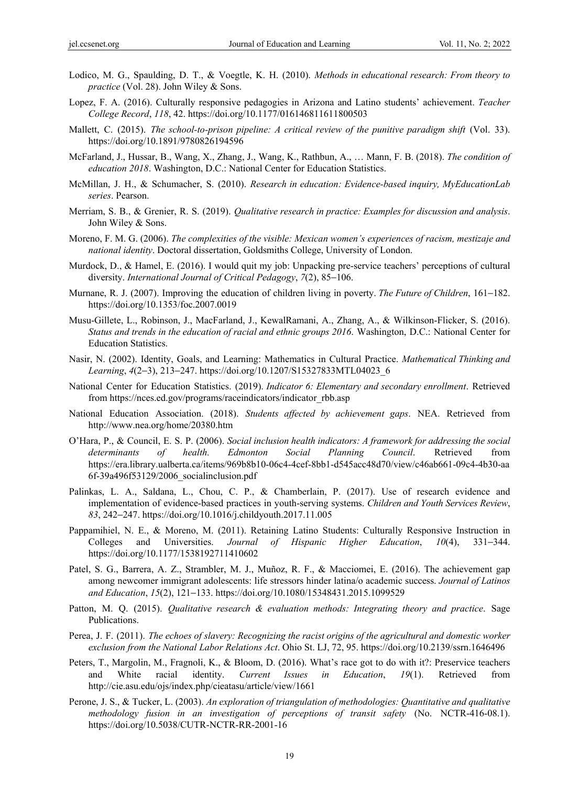- Lodico, M. G., Spaulding, D. T., & Voegtle, K. H. (2010). *Methods in educational research: From theory to practice* (Vol. 28). John Wiley & Sons.
- Lopez, F. A. (2016). Culturally responsive pedagogies in Arizona and Latino students' achievement. *Teacher College Record*, *118*, 42. https://doi.org/10.1177/016146811611800503
- Mallett, C. (2015). *The school-to-prison pipeline: A critical review of the punitive paradigm shift* (Vol. 33). https://doi.org/10.1891/9780826194596
- McFarland, J., Hussar, B., Wang, X., Zhang, J., Wang, K., Rathbun, A., … Mann, F. B. (2018). *The condition of education 2018*. Washington, D.C.: National Center for Education Statistics.
- McMillan, J. H., & Schumacher, S. (2010). *Research in education: Evidence-based inquiry, MyEducationLab series*. Pearson.
- Merriam, S. B., & Grenier, R. S. (2019). *Qualitative research in practice: Examples for discussion and analysis*. John Wiley & Sons.
- Moreno, F. M. G. (2006). *The complexities of the visible: Mexican women's experiences of racism, mestizaje and national identity*. Doctoral dissertation, Goldsmiths College, University of London.
- Murdock, D., & Hamel, E. (2016). I would quit my job: Unpacking pre-service teachers' perceptions of cultural diversity. *International Journal of Critical Pedagogy*, *7*(2), 85−106.
- Murnane, R. J. (2007). Improving the education of children living in poverty. *The Future of Children*, 161−182. https://doi.org/10.1353/foc.2007.0019
- Musu-Gillete, L., Robinson, J., MacFarland, J., KewalRamani, A., Zhang, A., & Wilkinson-Flicker, S. (2016). *Status and trends in the education of racial and ethnic groups 2016*. Washington, D.C.: National Center for Education Statistics.
- Nasir, N. (2002). Identity, Goals, and Learning: Mathematics in Cultural Practice. *Mathematical Thinking and Learning*, *4*(2−3), 213−247. https://doi.org/10.1207/S15327833MTL04023\_6
- National Center for Education Statistics. (2019). *Indicator 6: Elementary and secondary enrollment*. Retrieved from https://nces.ed.gov/programs/raceindicators/indicator\_rbb.asp
- National Education Association. (2018). *Students affected by achievement gaps*. NEA. Retrieved from http://www.nea.org/home/20380.htm
- O'Hara, P., & Council, E. S. P. (2006). *Social inclusion health indicators: A framework for addressing the social determinants of health. Edmonton Social Planning Council*. Retrieved from https://era.library.ualberta.ca/items/969b8b10-06c4-4cef-8bb1-d545acc48d70/view/c46ab661-09c4-4b30-aa 6f-39a496f53129/2006\_socialinclusion.pdf
- Palinkas, L. A., Saldana, L., Chou, C. P., & Chamberlain, P. (2017). Use of research evidence and implementation of evidence-based practices in youth-serving systems. *Children and Youth Services Review*, *83*, 242−247. https://doi.org/10.1016/j.childyouth.2017.11.005
- Pappamihiel, N. E., & Moreno, M. (2011). Retaining Latino Students: Culturally Responsive Instruction in Colleges and Universities. *Journal of Hispanic Higher Education*, *10*(4), 331−344. https://doi.org/10.1177/1538192711410602
- Patel, S. G., Barrera, A. Z., Strambler, M. J., Muñoz, R. F., & Macciomei, E. (2016). The achievement gap among newcomer immigrant adolescents: life stressors hinder latina/o academic success. *Journal of Latinos and Education*, *15*(2), 121−133. https://doi.org/10.1080/15348431.2015.1099529
- Patton, M. Q. (2015). *Qualitative research & evaluation methods: Integrating theory and practice*. Sage Publications.
- Perea, J. F. (2011). *The echoes of slavery: Recognizing the racist origins of the agricultural and domestic worker exclusion from the National Labor Relations Act*. Ohio St. LJ, 72, 95. https://doi.org/10.2139/ssrn.1646496
- Peters, T., Margolin, M., Fragnoli, K., & Bloom, D. (2016). What's race got to do with it?: Preservice teachers and White racial identity. *Current Issues in Education*, *19*(1). Retrieved from http://cie.asu.edu/ojs/index.php/cieatasu/article/view/1661
- Perone, J. S., & Tucker, L. (2003). *An exploration of triangulation of methodologies: Quantitative and qualitative methodology fusion in an investigation of perceptions of transit safety* (No. NCTR-416-08.1). https://doi.org/10.5038/CUTR-NCTR-RR-2001-16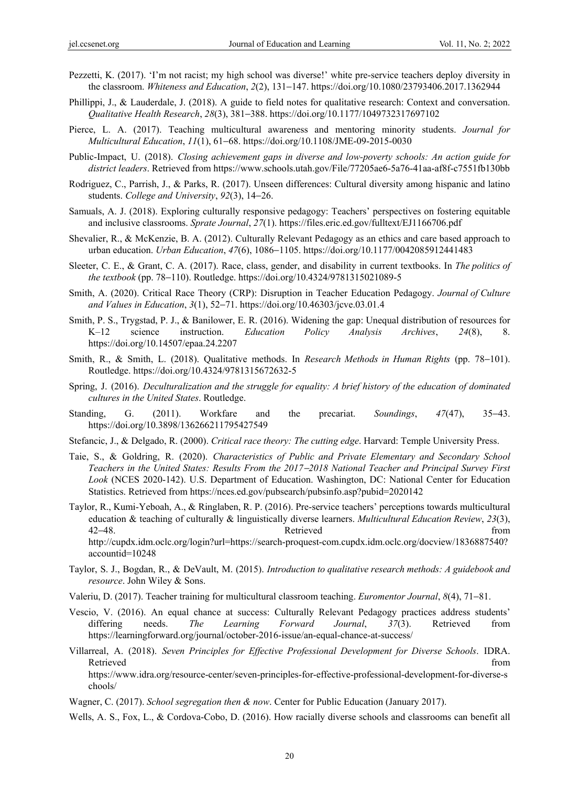- Pezzetti, K. (2017). 'I'm not racist; my high school was diverse!' white pre-service teachers deploy diversity in the classroom. *Whiteness and Education*, *2*(2), 131−147. https://doi.org/10.1080/23793406.2017.1362944
- Phillippi, J., & Lauderdale, J. (2018). A guide to field notes for qualitative research: Context and conversation. *Qualitative Health Research*, *28*(3), 381−388. https://doi.org/10.1177/1049732317697102
- Pierce, L. A. (2017). Teaching multicultural awareness and mentoring minority students. *Journal for Multicultural Education*, *11*(1), 61−68. https://doi.org/10.1108/JME-09-2015-0030
- Public-Impact, U. (2018). *Closing achievement gaps in diverse and low-poverty schools: An action guide for district leaders*. Retrieved from https://www.schools.utah.gov/File/77205ae6-5a76-41aa-af8f-c7551fb130bb
- Rodriguez, C., Parrish, J., & Parks, R. (2017). Unseen differences: Cultural diversity among hispanic and latino students. *College and University*, *92*(3), 14−26.
- Samuals, A. J. (2018). Exploring culturally responsive pedagogy: Teachers' perspectives on fostering equitable and inclusive classrooms. *Sprate Journal*, *27*(1). https://files.eric.ed.gov/fulltext/EJ1166706.pdf
- Shevalier, R., & McKenzie, B. A. (2012). Culturally Relevant Pedagogy as an ethics and care based approach to urban education. *Urban Education*, *47*(6), 1086−1105. https://doi.org/10.1177/0042085912441483
- Sleeter, C. E., & Grant, C. A. (2017). Race, class, gender, and disability in current textbooks. In *The politics of the textbook* (pp. 78−110). Routledge. https://doi.org/10.4324/9781315021089-5
- Smith, A. (2020). Critical Race Theory (CRP): Disruption in Teacher Education Pedagogy. *Journal of Culture and Values in Education*, *3*(1), 52−71. https://doi.org/10.46303/jcve.03.01.4
- Smith, P. S., Trygstad, P. J., & Banilower, E. R. (2016). Widening the gap: Unequal distribution of resources for K–12 science instruction. *Education Policy Analysis Archives*, *24*(8), 8. https://doi.org/10.14507/epaa.24.2207
- Smith, R., & Smith, L. (2018). Qualitative methods. In *Research Methods in Human Rights* (pp. 78−101). Routledge. https://doi.org/10.4324/9781315672632-5
- Spring, J. (2016). *Deculturalization and the struggle for equality: A brief history of the education of dominated cultures in the United States*. Routledge.
- Standing, G. (2011). Workfare and the precariat. *Soundings*, *47*(47), 35−43. https://doi.org/10.3898/136266211795427549
- Stefancic, J., & Delgado, R. (2000). *Critical race theory: The cutting edge*. Harvard: Temple University Press.
- Taie, S., & Goldring, R. (2020). *Characteristics of Public and Private Elementary and Secondary School Teachers in the United States: Results From the 2017*−*2018 National Teacher and Principal Survey First Look* (NCES 2020-142). U.S. Department of Education. Washington, DC: National Center for Education Statistics. Retrieved from https://nces.ed.gov/pubsearch/pubsinfo.asp?pubid=2020142
- Taylor, R., Kumi-Yeboah, A., & Ringlaben, R. P. (2016). Pre-service teachers' perceptions towards multicultural education & teaching of culturally & linguistically diverse learners. *Multicultural Education Review*, *23*(3), 42−48. Retrieved from http://cupdx.idm.oclc.org/login?url=https://search-proquest-com.cupdx.idm.oclc.org/docview/1836887540? accountid=10248
- Taylor, S. J., Bogdan, R., & DeVault, M. (2015). *Introduction to qualitative research methods: A guidebook and resource*. John Wiley & Sons.
- Valeriu, D. (2017). Teacher training for multicultural classroom teaching. *Euromentor Journal*, *8*(4), 71−81.
- Vescio, V. (2016). An equal chance at success: Culturally Relevant Pedagogy practices address students' differing needs. *The Learning Forward Journal*, *37*(3). Retrieved from https://learningforward.org/journal/october-2016-issue/an-equal-chance-at-success/
- Villarreal, A. (2018). *Seven Principles for Effective Professional Development for Diverse Schools*. IDRA. Retrieved that the contract of the contract of the contract of the contract of the contract of the contract of the contract of the contract of the contract of the contract of the contract of the contract of the contract of https://www.idra.org/resource-center/seven-principles-for-effective-professional-development-for-diverse-s chools/
- Wagner, C. (2017). *School segregation then & now*. Center for Public Education (January 2017).
- Wells, A. S., Fox, L., & Cordova-Cobo, D. (2016). How racially diverse schools and classrooms can benefit all